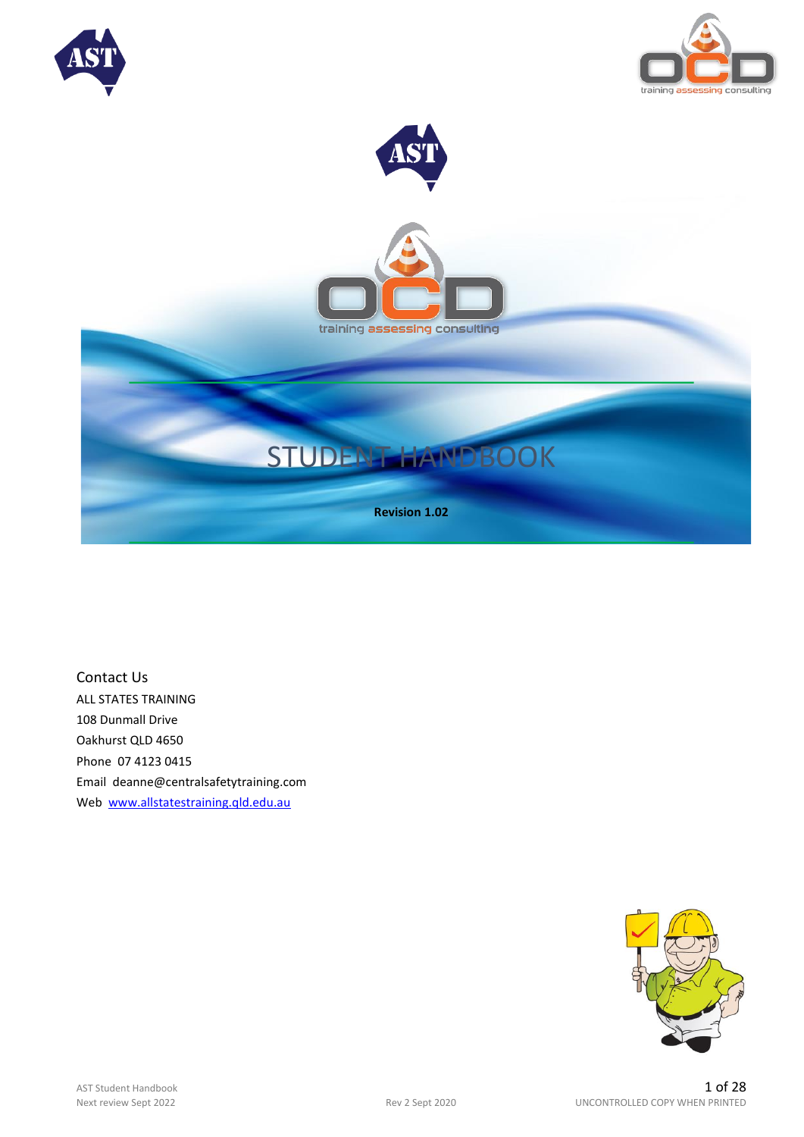





Contact Us ALL STATES TRAINING 108 Dunmall Drive Oakhurst QLD 4650 Phone 07 4123 0415 Email deanne@centralsafetytraining.com Web [www.allstatestraining.qld.edu.au](http://www.allstatestraining.qld.edu.au/)

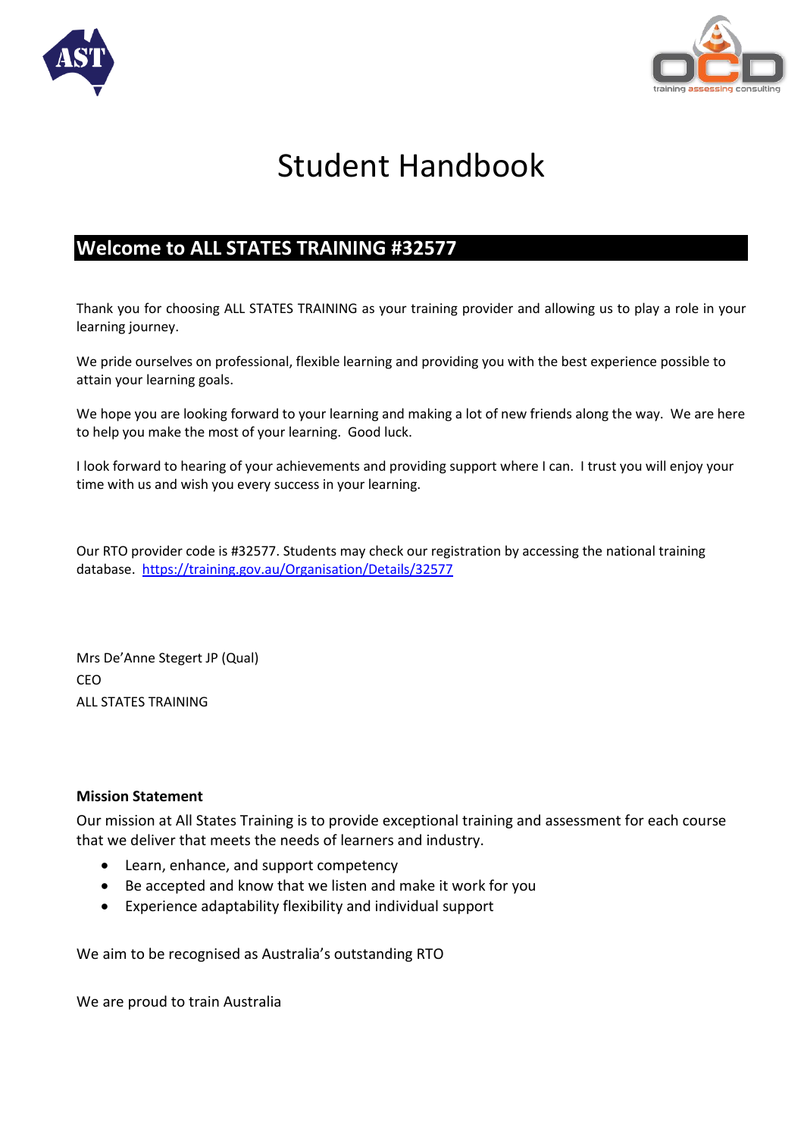



# Student Handbook

## **Welcome to ALL STATES TRAINING #32577**

Thank you for choosing ALL STATES TRAINING as your training provider and allowing us to play a role in your learning journey.

We pride ourselves on professional, flexible learning and providing you with the best experience possible to attain your learning goals.

We hope you are looking forward to your learning and making a lot of new friends along the way. We are here to help you make the most of your learning. Good luck.

I look forward to hearing of your achievements and providing support where I can. I trust you will enjoy your time with us and wish you every success in your learning.

Our RTO provider code is #32577. Students may check our registration by accessing the national training database. <https://training.gov.au/Organisation/Details/32577>

Mrs De'Anne Stegert JP (Qual) CEO ALL STATES TRAINING

#### **Mission Statement**

Our mission at All States Training is to provide exceptional training and assessment for each course that we deliver that meets the needs of learners and industry.

- Learn, enhance, and support competency
- Be accepted and know that we listen and make it work for you
- Experience adaptability flexibility and individual support

We aim to be recognised as Australia's outstanding RTO

We are proud to train Australia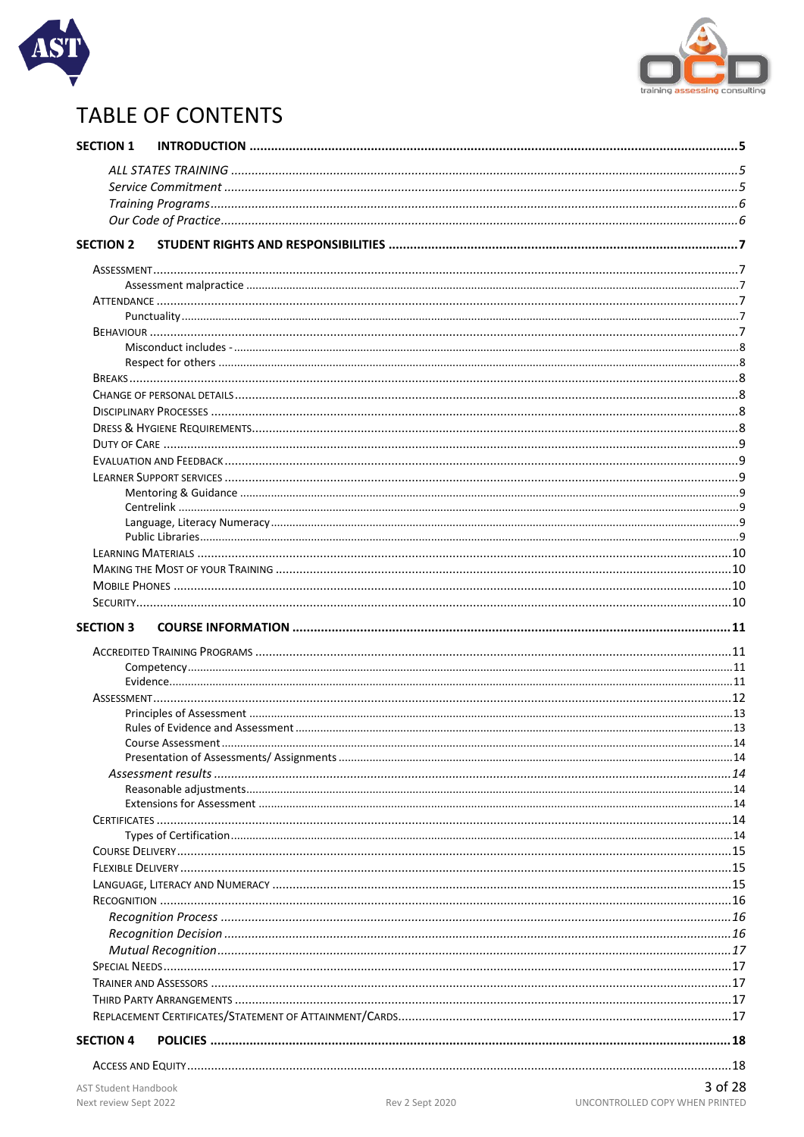



## **TABLE OF CONTENTS**

| <b>SECTION 1</b>            |  |         |
|-----------------------------|--|---------|
|                             |  |         |
|                             |  |         |
|                             |  |         |
|                             |  |         |
|                             |  |         |
| <b>SECTION 2</b>            |  |         |
|                             |  |         |
|                             |  |         |
|                             |  |         |
|                             |  |         |
|                             |  |         |
|                             |  |         |
|                             |  |         |
|                             |  |         |
|                             |  |         |
|                             |  |         |
|                             |  |         |
|                             |  |         |
|                             |  |         |
|                             |  |         |
|                             |  |         |
|                             |  |         |
|                             |  |         |
|                             |  |         |
|                             |  |         |
|                             |  |         |
|                             |  |         |
| <b>SECTION 3</b>            |  |         |
|                             |  |         |
|                             |  |         |
|                             |  |         |
|                             |  |         |
|                             |  |         |
|                             |  |         |
|                             |  |         |
|                             |  |         |
|                             |  |         |
|                             |  |         |
|                             |  |         |
|                             |  |         |
|                             |  |         |
|                             |  |         |
|                             |  |         |
|                             |  |         |
|                             |  |         |
|                             |  |         |
|                             |  |         |
|                             |  |         |
|                             |  |         |
|                             |  |         |
|                             |  |         |
|                             |  |         |
| <b>SECTION 4</b>            |  |         |
|                             |  |         |
|                             |  |         |
| <b>AST Student Handbook</b> |  | 3 of 28 |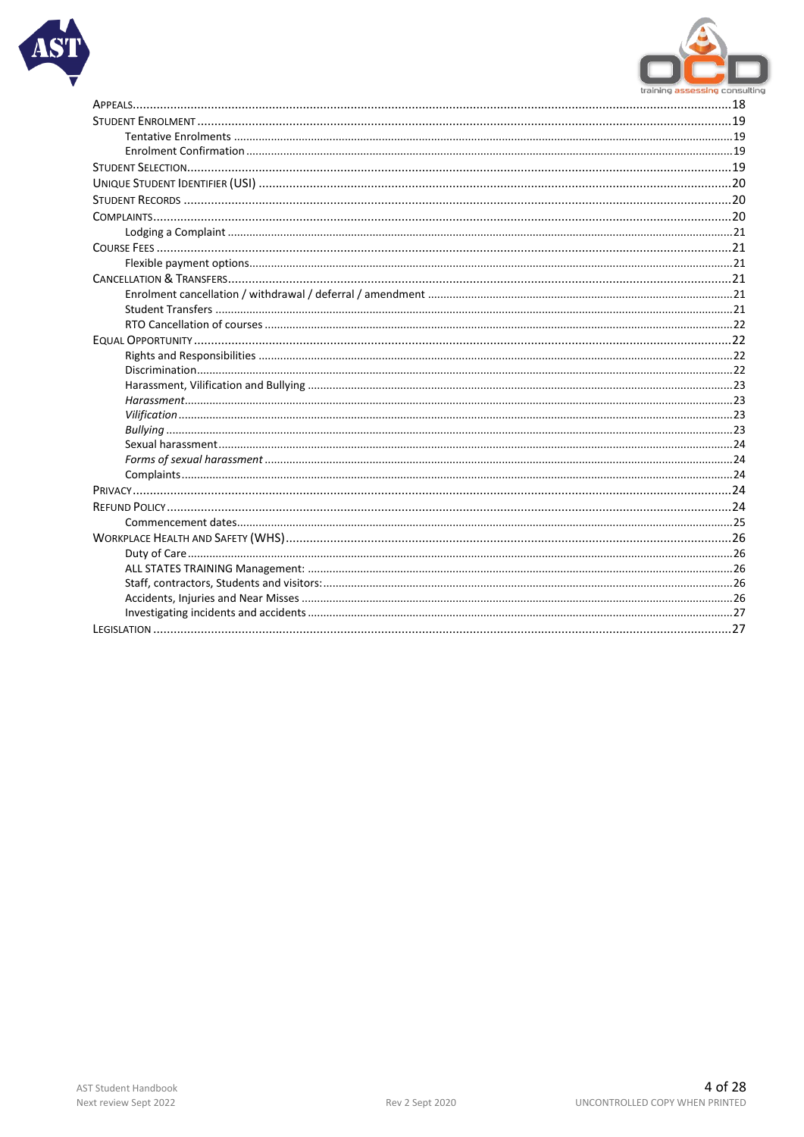

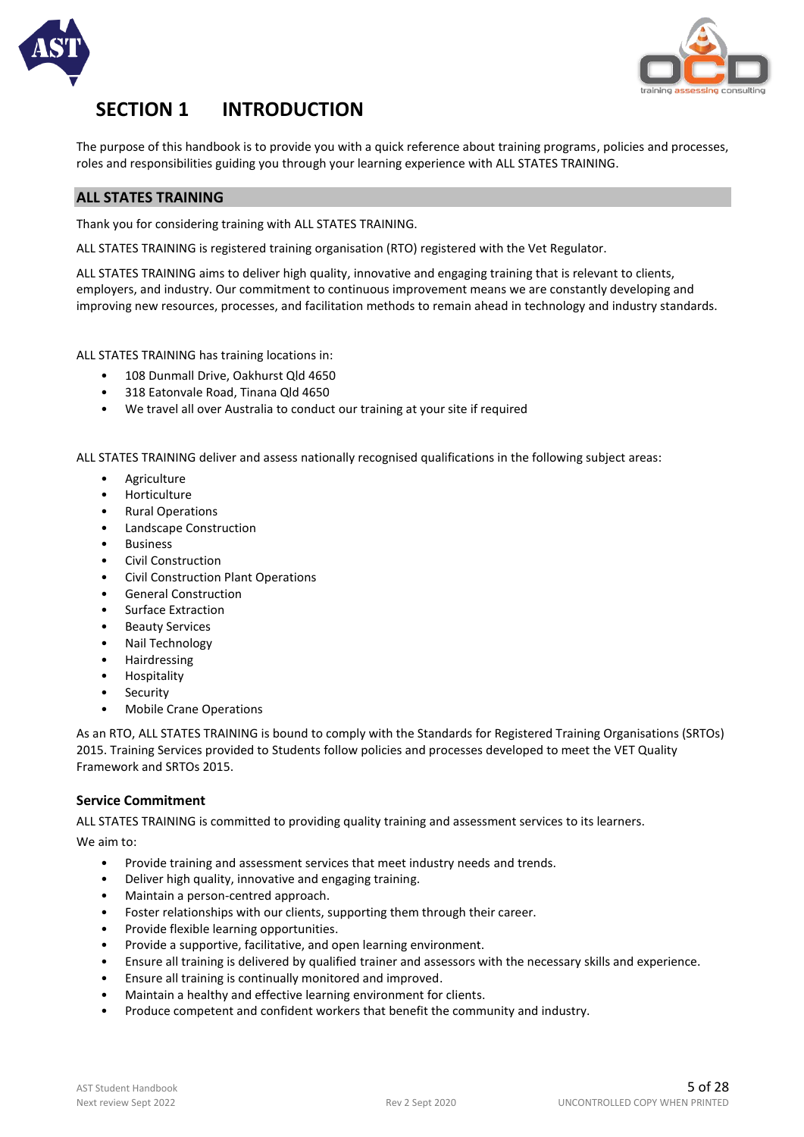



## **SECTION 1 INTRODUCTION**

The purpose of this handbook is to provide you with a quick reference about training programs, policies and processes, roles and responsibilities guiding you through your learning experience with ALL STATES TRAINING.

#### **ALL STATES TRAINING**

Thank you for considering training with ALL STATES TRAINING.

ALL STATES TRAINING is registered training organisation (RTO) registered with the Vet Regulator.

ALL STATES TRAINING aims to deliver high quality, innovative and engaging training that is relevant to clients, employers, and industry. Our commitment to continuous improvement means we are constantly developing and improving new resources, processes, and facilitation methods to remain ahead in technology and industry standards.

ALL STATES TRAINING has training locations in:

- 108 Dunmall Drive, Oakhurst Qld 4650
- 318 Eatonvale Road, Tinana Qld 4650
- We travel all over Australia to conduct our training at your site if required

ALL STATES TRAINING deliver and assess nationally recognised qualifications in the following subject areas:

- Agriculture
- Horticulture
- Rural Operations
- Landscape Construction
- Business
- Civil Construction
- Civil Construction Plant Operations
- General Construction
- Surface Extraction
- Beauty Services
- Nail Technology
- Hairdressing
- Hospitality
- Security
- Mobile Crane Operations

As an RTO, ALL STATES TRAINING is bound to comply with the Standards for Registered Training Organisations (SRTOs) 2015. Training Services provided to Students follow policies and processes developed to meet the VET Quality Framework and SRTOs 2015.

#### **Service Commitment**

ALL STATES TRAINING is committed to providing quality training and assessment services to its learners.

We aim to:

- Provide training and assessment services that meet industry needs and trends.
- Deliver high quality, innovative and engaging training.
- Maintain a person-centred approach.
- Foster relationships with our clients, supporting them through their career.
- Provide flexible learning opportunities.
- Provide a supportive, facilitative, and open learning environment.
- Ensure all training is delivered by qualified trainer and assessors with the necessary skills and experience.
- Ensure all training is continually monitored and improved.
- Maintain a healthy and effective learning environment for clients.
- Produce competent and confident workers that benefit the community and industry.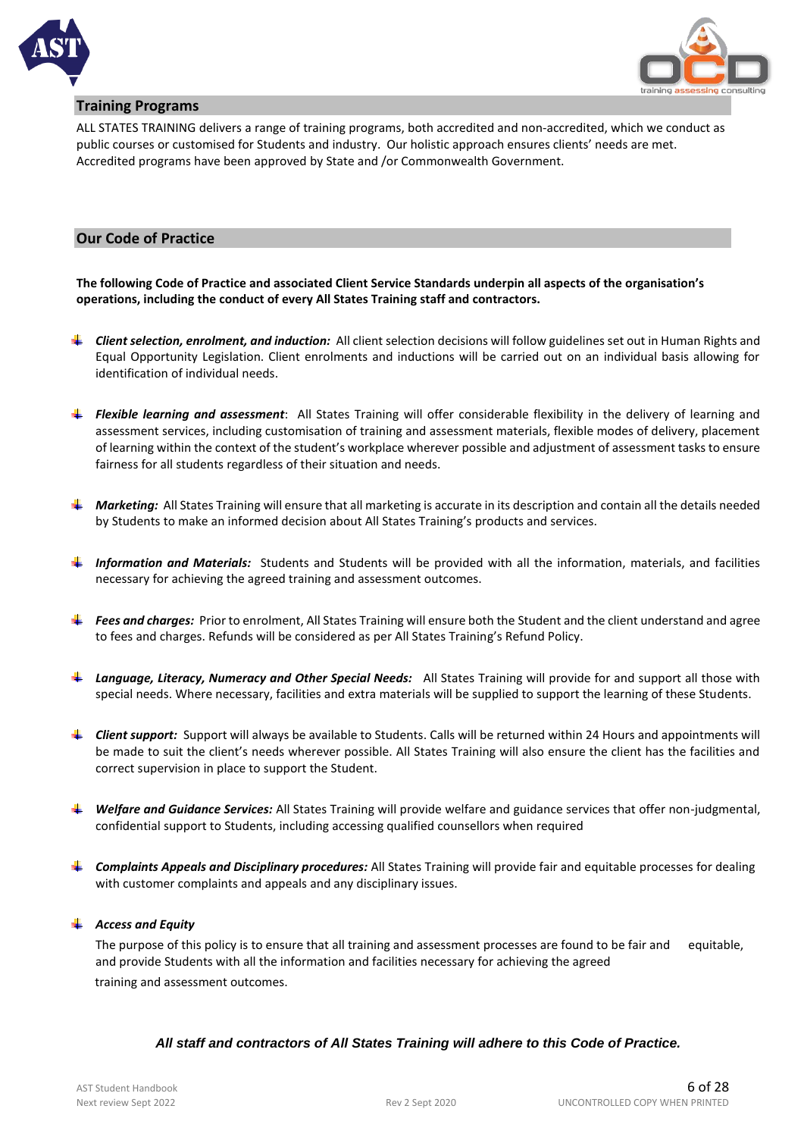



#### **Training Programs**

ALL STATES TRAINING delivers a range of training programs, both accredited and non-accredited, which we conduct as public courses or customised for Students and industry. Our holistic approach ensures clients' needs are met. Accredited programs have been approved by State and /or Commonwealth Government.

#### **Our Code of Practice**

**The following Code of Practice and associated Client Service Standards underpin all aspects of the organisation's operations, including the conduct of every All States Training staff and contractors.**

- *Client selection, enrolment, and induction:* All client selection decisions will follow guidelines set out in Human Rights and Equal Opportunity Legislation. Client enrolments and inductions will be carried out on an individual basis allowing for identification of individual needs.
- *Flexible learning and assessment*: All States Training will offer considerable flexibility in the delivery of learning and assessment services, including customisation of training and assessment materials, flexible modes of delivery, placement of learning within the context of the student's workplace wherever possible and adjustment of assessment tasks to ensure fairness for all students regardless of their situation and needs.
- **4 Marketing:** All States Training will ensure that all marketing is accurate in its description and contain all the details needed by Students to make an informed decision about All States Training's products and services.
- *Information and Materials:* Students and Students will be provided with all the information, materials, and facilities necessary for achieving the agreed training and assessment outcomes.
- **Fees and charges:** Prior to enrolment, All States Training will ensure both the Student and the client understand and agree to fees and charges. Refunds will be considered as per All States Training's Refund Policy.
- *Language, Literacy, Numeracy and Other Special Needs:* All States Training will provide for and support all those with special needs. Where necessary, facilities and extra materials will be supplied to support the learning of these Students.
- **F** Client support: Support will always be available to Students. Calls will be returned within 24 Hours and appointments will be made to suit the client's needs wherever possible. All States Training will also ensure the client has the facilities and correct supervision in place to support the Student.
- *Welfare and Guidance Services:* All States Training will provide welfare and guidance services that offer non-judgmental, confidential support to Students, including accessing qualified counsellors when required
- *Complaints Appeals and Disciplinary procedures:* All States Training will provide fair and equitable processes for dealing with customer complaints and appeals and any disciplinary issues.

#### *Access and Equity*

The purpose of this policy is to ensure that all training and assessment processes are found to be fair and equitable, and provide Students with all the information and facilities necessary for achieving the agreed training and assessment outcomes.

#### *All staff and contractors of All States Training will adhere to this Code of Practice.*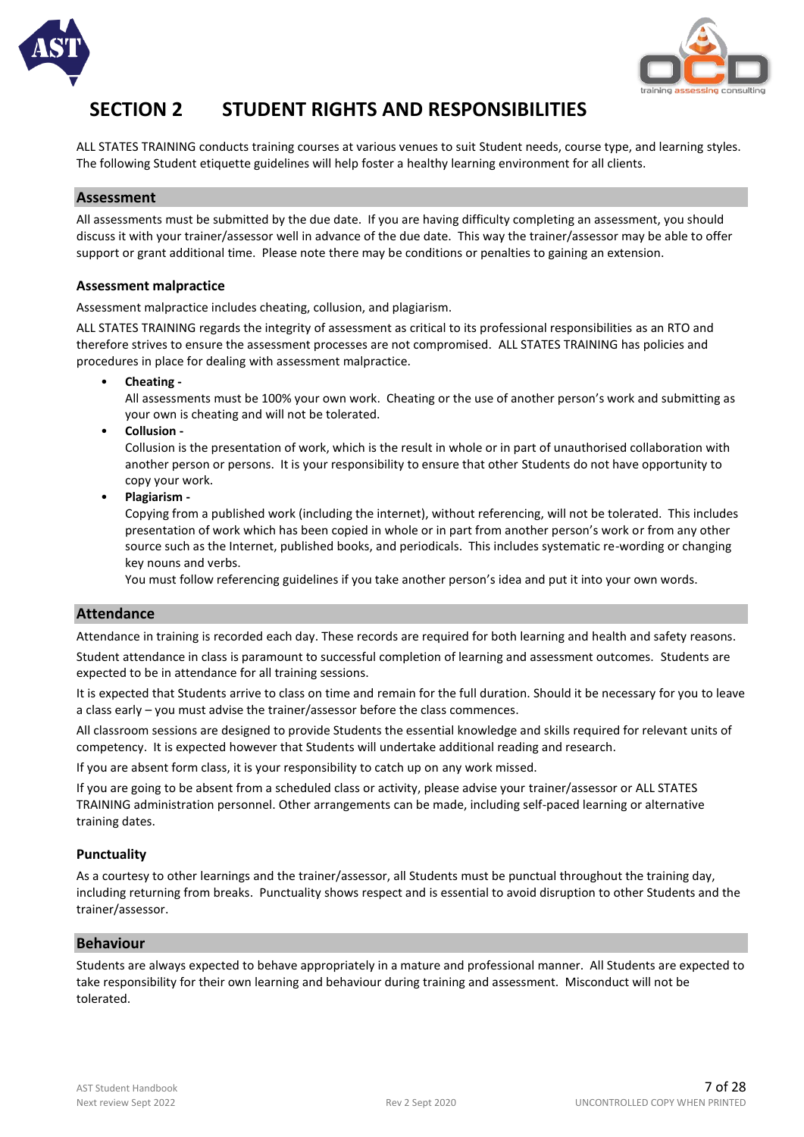



## **SECTION 2 STUDENT RIGHTS AND RESPONSIBILITIES**

ALL STATES TRAINING conducts training courses at various venues to suit Student needs, course type, and learning styles. The following Student etiquette guidelines will help foster a healthy learning environment for all clients.

#### **Assessment**

All assessments must be submitted by the due date. If you are having difficulty completing an assessment, you should discuss it with your trainer/assessor well in advance of the due date. This way the trainer/assessor may be able to offer support or grant additional time. Please note there may be conditions or penalties to gaining an extension.

#### **Assessment malpractice**

Assessment malpractice includes cheating, collusion, and plagiarism.

ALL STATES TRAINING regards the integrity of assessment as critical to its professional responsibilities as an RTO and therefore strives to ensure the assessment processes are not compromised. ALL STATES TRAINING has policies and procedures in place for dealing with assessment malpractice.

• **Cheating -**

All assessments must be 100% your own work. Cheating or the use of another person's work and submitting as your own is cheating and will not be tolerated.

• **Collusion -**

Collusion is the presentation of work, which is the result in whole or in part of unauthorised collaboration with another person or persons. It is your responsibility to ensure that other Students do not have opportunity to copy your work.

• **Plagiarism -**

Copying from a published work (including the internet), without referencing, will not be tolerated. This includes presentation of work which has been copied in whole or in part from another person's work or from any other source such as the Internet, published books, and periodicals. This includes systematic re-wording or changing key nouns and verbs.

You must follow referencing guidelines if you take another person's idea and put it into your own words.

#### **Attendance**

Attendance in training is recorded each day. These records are required for both learning and health and safety reasons. Student attendance in class is paramount to successful completion of learning and assessment outcomes. Students are expected to be in attendance for all training sessions.

It is expected that Students arrive to class on time and remain for the full duration. Should it be necessary for you to leave a class early – you must advise the trainer/assessor before the class commences.

All classroom sessions are designed to provide Students the essential knowledge and skills required for relevant units of competency. It is expected however that Students will undertake additional reading and research.

If you are absent form class, it is your responsibility to catch up on any work missed.

If you are going to be absent from a scheduled class or activity, please advise your trainer/assessor or ALL STATES TRAINING administration personnel. Other arrangements can be made, including self-paced learning or alternative training dates.

#### **Punctuality**

As a courtesy to other learnings and the trainer/assessor, all Students must be punctual throughout the training day, including returning from breaks. Punctuality shows respect and is essential to avoid disruption to other Students and the trainer/assessor.

#### **Behaviour**

Students are always expected to behave appropriately in a mature and professional manner. All Students are expected to take responsibility for their own learning and behaviour during training and assessment. Misconduct will not be tolerated.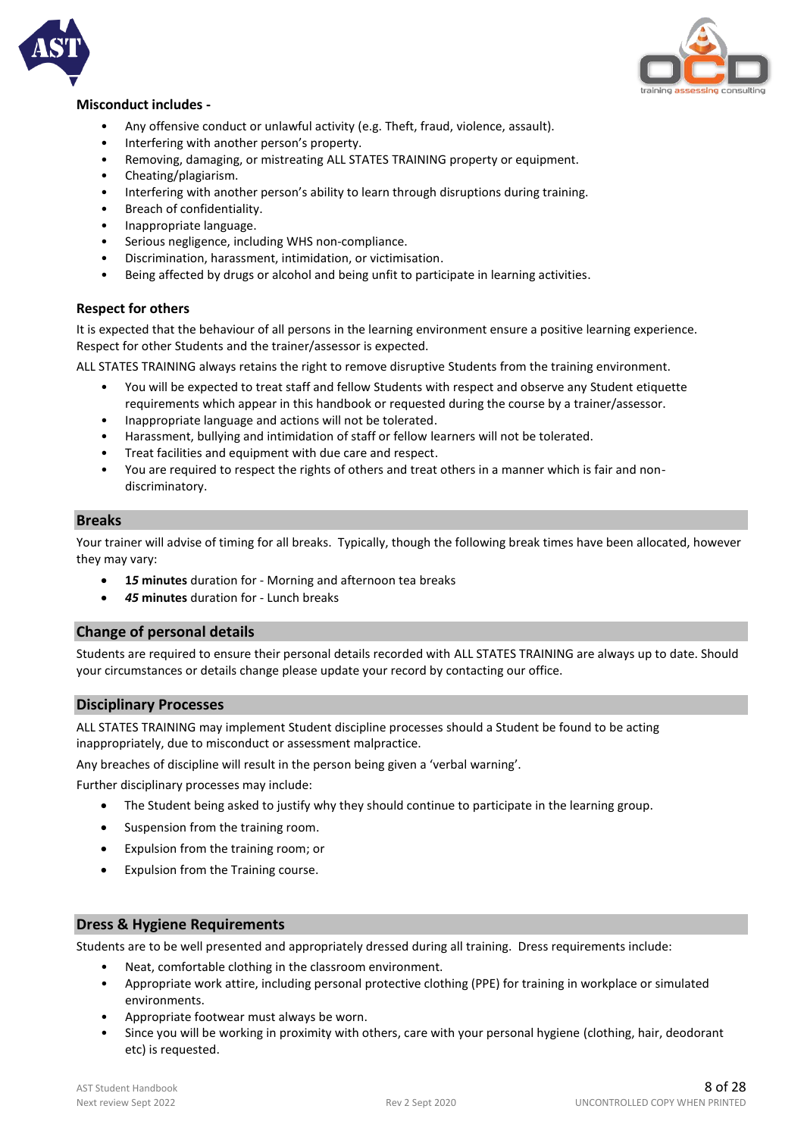



#### **Misconduct includes -**

- Any offensive conduct or unlawful activity (e.g. Theft, fraud, violence, assault).
- Interfering with another person's property.
- Removing, damaging, or mistreating ALL STATES TRAINING property or equipment.
- Cheating/plagiarism.
- Interfering with another person's ability to learn through disruptions during training.
- Breach of confidentiality.
- Inappropriate language.
- Serious negligence, including WHS non-compliance.
- Discrimination, harassment, intimidation, or victimisation.
- Being affected by drugs or alcohol and being unfit to participate in learning activities.

#### **Respect for others**

It is expected that the behaviour of all persons in the learning environment ensure a positive learning experience. Respect for other Students and the trainer/assessor is expected.

ALL STATES TRAINING always retains the right to remove disruptive Students from the training environment.

- You will be expected to treat staff and fellow Students with respect and observe any Student etiquette requirements which appear in this handbook or requested during the course by a trainer/assessor.
- Inappropriate language and actions will not be tolerated.
- Harassment, bullying and intimidation of staff or fellow learners will not be tolerated.
- Treat facilities and equipment with due care and respect.
- You are required to respect the rights of others and treat others in a manner which is fair and nondiscriminatory.

#### **Breaks**

Your trainer will advise of timing for all breaks. Typically, though the following break times have been allocated, however they may vary:

- **1***5* **minutes** duration for Morning and afternoon tea breaks
- *45* **minutes** duration for Lunch breaks

#### **Change of personal details**

Students are required to ensure their personal details recorded with ALL STATES TRAINING are always up to date. Should your circumstances or details change please update your record by contacting our office.

#### **Disciplinary Processes**

ALL STATES TRAINING may implement Student discipline processes should a Student be found to be acting inappropriately, due to misconduct or assessment malpractice.

Any breaches of discipline will result in the person being given a 'verbal warning'.

Further disciplinary processes may include:

- The Student being asked to justify why they should continue to participate in the learning group.
- Suspension from the training room.
- Expulsion from the training room; or
- Expulsion from the Training course.

#### **Dress & Hygiene Requirements**

Students are to be well presented and appropriately dressed during all training. Dress requirements include:

- Neat, comfortable clothing in the classroom environment.
- Appropriate work attire, including personal protective clothing (PPE) for training in workplace or simulated environments.
- Appropriate footwear must always be worn.
- Since you will be working in proximity with others, care with your personal hygiene (clothing, hair, deodorant etc) is requested.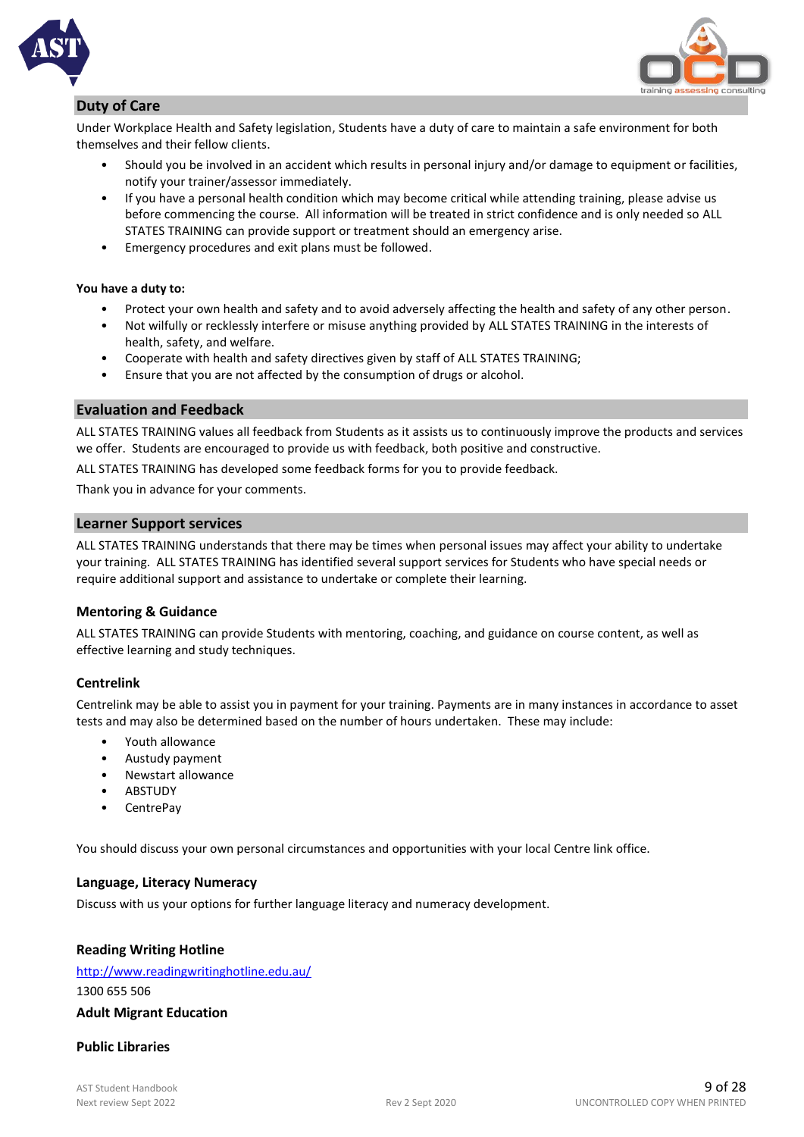

#### **Duty of Care**

Under Workplace Health and Safety legislation, Students have a duty of care to maintain a safe environment for both themselves and their fellow clients.

- Should you be involved in an accident which results in personal injury and/or damage to equipment or facilities, notify your trainer/assessor immediately.
- If you have a personal health condition which may become critical while attending training, please advise us before commencing the course. All information will be treated in strict confidence and is only needed so ALL STATES TRAINING can provide support or treatment should an emergency arise.
- Emergency procedures and exit plans must be followed.

#### **You have a duty to:**

- Protect your own health and safety and to avoid adversely affecting the health and safety of any other person.
- Not wilfully or recklessly interfere or misuse anything provided by ALL STATES TRAINING in the interests of health, safety, and welfare.
- Cooperate with health and safety directives given by staff of ALL STATES TRAINING;
- Ensure that you are not affected by the consumption of drugs or alcohol.

#### **Evaluation and Feedback**

ALL STATES TRAINING values all feedback from Students as it assists us to continuously improve the products and services we offer. Students are encouraged to provide us with feedback, both positive and constructive.

ALL STATES TRAINING has developed some feedback forms for you to provide feedback.

Thank you in advance for your comments.

#### **Learner Support services**

ALL STATES TRAINING understands that there may be times when personal issues may affect your ability to undertake your training. ALL STATES TRAINING has identified several support services for Students who have special needs or require additional support and assistance to undertake or complete their learning.

#### **Mentoring & Guidance**

ALL STATES TRAINING can provide Students with mentoring, coaching, and guidance on course content, as well as effective learning and study techniques.

#### **Centrelink**

Centrelink may be able to assist you in payment for your training. Payments are in many instances in accordance to asset tests and may also be determined based on the number of hours undertaken. These may include:

- Youth allowance
- Austudy payment
- Newstart allowance
- **ABSTUDY**
- CentrePay

You should discuss your own personal circumstances and opportunities with your local Centre link office.

#### **Language, Literacy Numeracy**

Discuss with us your options for further language literacy and numeracy development.

#### **Reading Writing Hotline**

### <http://www.readingwritinghotline.edu.au/> 1300 655 506

#### **Adult Migrant Education**

#### **Public Libraries**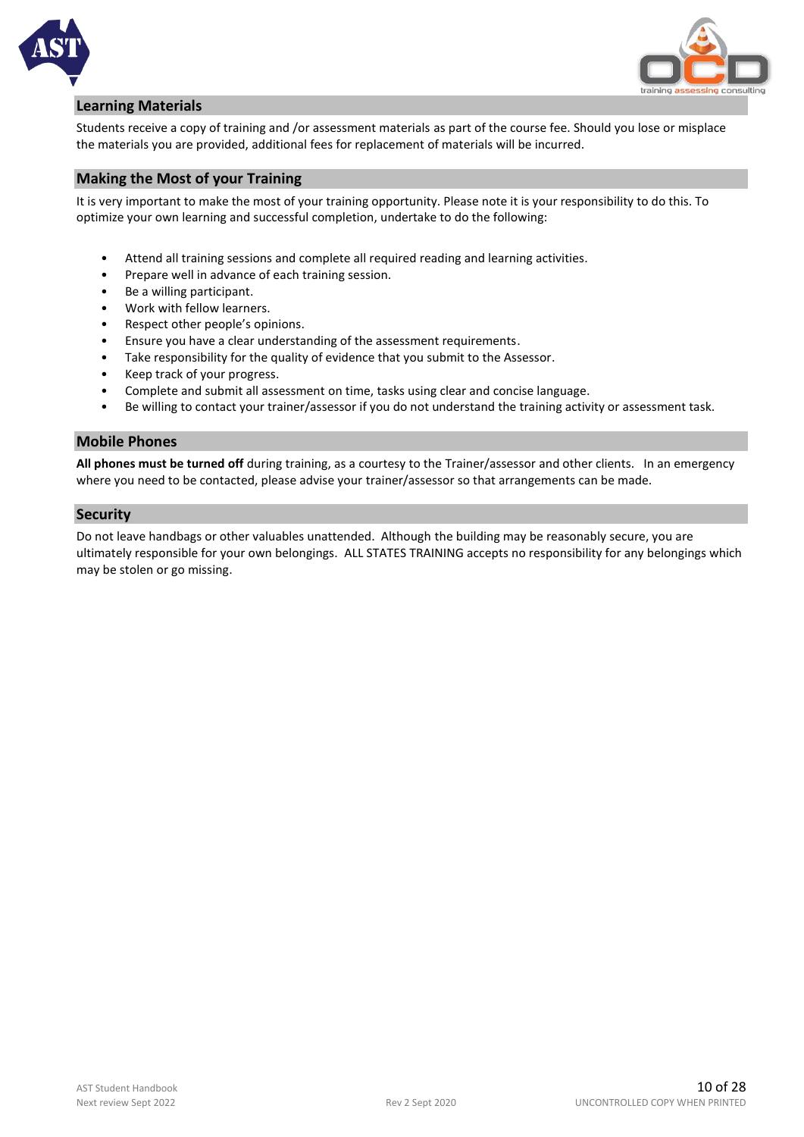



#### **Learning Materials**

Students receive a copy of training and /or assessment materials as part of the course fee. Should you lose or misplace the materials you are provided, additional fees for replacement of materials will be incurred.

#### **Making the Most of your Training**

It is very important to make the most of your training opportunity. Please note it is your responsibility to do this. To optimize your own learning and successful completion, undertake to do the following:

- Attend all training sessions and complete all required reading and learning activities.
- Prepare well in advance of each training session.
- Be a willing participant.
- Work with fellow learners.
- Respect other people's opinions.
- Ensure you have a clear understanding of the assessment requirements.
- Take responsibility for the quality of evidence that you submit to the Assessor.
- Keep track of your progress.
- Complete and submit all assessment on time, tasks using clear and concise language.
- Be willing to contact your trainer/assessor if you do not understand the training activity or assessment task.

#### **Mobile Phones**

**All phones must be turned off** during training, as a courtesy to the Trainer/assessor and other clients. In an emergency where you need to be contacted, please advise your trainer/assessor so that arrangements can be made.

#### **Security**

Do not leave handbags or other valuables unattended. Although the building may be reasonably secure, you are ultimately responsible for your own belongings. ALL STATES TRAINING accepts no responsibility for any belongings which may be stolen or go missing.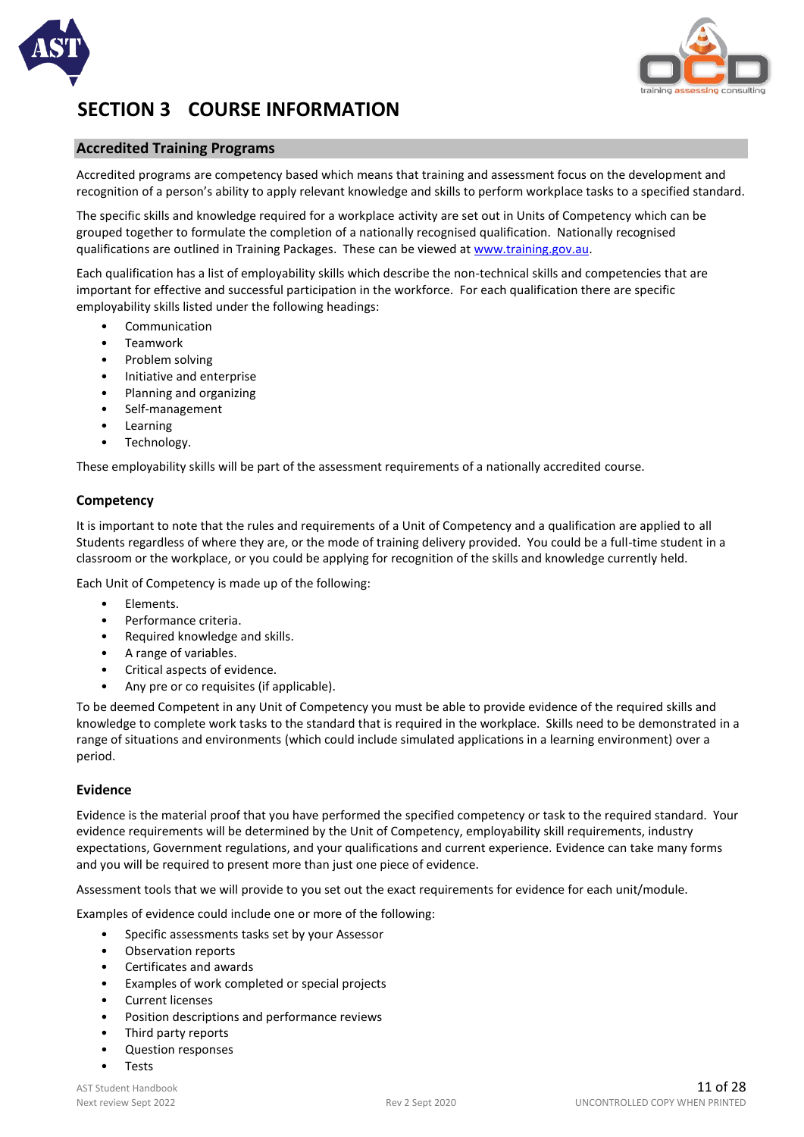



## **SECTION 3 COURSE INFORMATION**

#### **Accredited Training Programs**

Accredited programs are competency based which means that training and assessment focus on the development and recognition of a person's ability to apply relevant knowledge and skills to perform workplace tasks to a specified standard.

The specific skills and knowledge required for a workplace activity are set out in Units of Competency which can be grouped together to formulate the completion of a nationally recognised qualification. Nationally recognised qualifications are outlined in Training Packages. These can be viewed at www.training.gov.au.

Each qualification has a list of employability skills which describe the non-technical skills and competencies that are important for effective and successful participation in the workforce. For each qualification there are specific employability skills listed under the following headings:

- **Communication**
- Teamwork
- Problem solving
- Initiative and enterprise
- Planning and organizing
- Self-management
- Learning
- Technology.

These employability skills will be part of the assessment requirements of a nationally accredited course.

#### **Competency**

It is important to note that the rules and requirements of a Unit of Competency and a qualification are applied to all Students regardless of where they are, or the mode of training delivery provided. You could be a full-time student in a classroom or the workplace, or you could be applying for recognition of the skills and knowledge currently held.

Each Unit of Competency is made up of the following:

- Elements.
- Performance criteria.
- Required knowledge and skills.
- A range of variables.
- Critical aspects of evidence.
- Any pre or co requisites (if applicable).

To be deemed Competent in any Unit of Competency you must be able to provide evidence of the required skills and knowledge to complete work tasks to the standard that is required in the workplace. Skills need to be demonstrated in a range of situations and environments (which could include simulated applications in a learning environment) over a period.

#### **Evidence**

Evidence is the material proof that you have performed the specified competency or task to the required standard. Your evidence requirements will be determined by the Unit of Competency, employability skill requirements, industry expectations, Government regulations, and your qualifications and current experience. Evidence can take many forms and you will be required to present more than just one piece of evidence.

Assessment tools that we will provide to you set out the exact requirements for evidence for each unit/module.

Examples of evidence could include one or more of the following:

- Specific assessments tasks set by your Assessor
- Observation reports
- Certificates and awards
- Examples of work completed or special projects
- Current licenses
- Position descriptions and performance reviews
- Third party reports
- Question responses
- Tests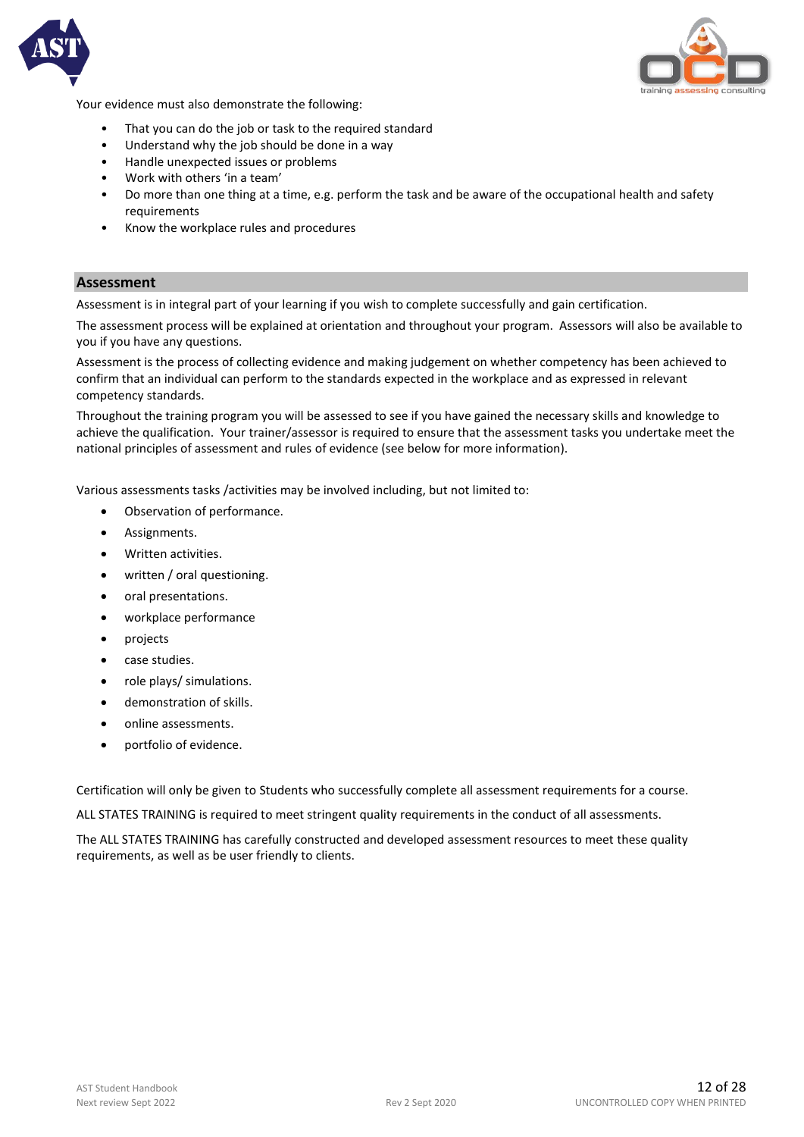



Your evidence must also demonstrate the following:

- That you can do the job or task to the required standard
- Understand why the job should be done in a way
- Handle unexpected issues or problems
- Work with others 'in a team'
- Do more than one thing at a time, e.g. perform the task and be aware of the occupational health and safety requirements
- Know the workplace rules and procedures

#### **Assessment**

Assessment is in integral part of your learning if you wish to complete successfully and gain certification.

The assessment process will be explained at orientation and throughout your program. Assessors will also be available to you if you have any questions.

Assessment is the process of collecting evidence and making judgement on whether competency has been achieved to confirm that an individual can perform to the standards expected in the workplace and as expressed in relevant competency standards.

Throughout the training program you will be assessed to see if you have gained the necessary skills and knowledge to achieve the qualification. Your trainer/assessor is required to ensure that the assessment tasks you undertake meet the national principles of assessment and rules of evidence (see below for more information).

Various assessments tasks /activities may be involved including, but not limited to:

- Observation of performance.
- Assignments.
- Written activities.
- written / oral questioning.
- oral presentations.
- workplace performance
- projects
- case studies.
- role plays/ simulations.
- demonstration of skills.
- online assessments.
- portfolio of evidence.

Certification will only be given to Students who successfully complete all assessment requirements for a course.

ALL STATES TRAINING is required to meet stringent quality requirements in the conduct of all assessments.

The ALL STATES TRAINING has carefully constructed and developed assessment resources to meet these quality requirements, as well as be user friendly to clients.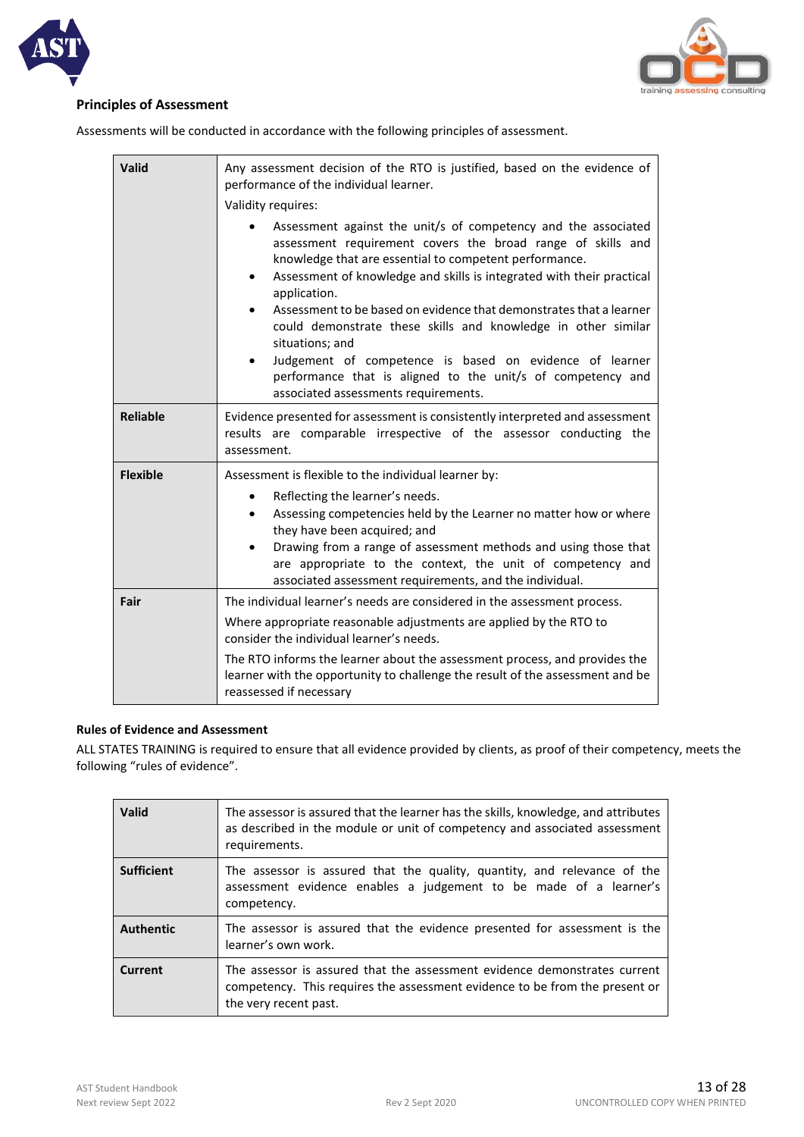



#### **Principles of Assessment**

Assessments will be conducted in accordance with the following principles of assessment.

| Valid           | Any assessment decision of the RTO is justified, based on the evidence of<br>performance of the individual learner.                                                                                                                                                                                                                                                                                                                                                                                                                                                                                                        |  |
|-----------------|----------------------------------------------------------------------------------------------------------------------------------------------------------------------------------------------------------------------------------------------------------------------------------------------------------------------------------------------------------------------------------------------------------------------------------------------------------------------------------------------------------------------------------------------------------------------------------------------------------------------------|--|
|                 | Validity requires:                                                                                                                                                                                                                                                                                                                                                                                                                                                                                                                                                                                                         |  |
|                 | Assessment against the unit/s of competency and the associated<br>assessment requirement covers the broad range of skills and<br>knowledge that are essential to competent performance.<br>Assessment of knowledge and skills is integrated with their practical<br>$\bullet$<br>application.<br>Assessment to be based on evidence that demonstrates that a learner<br>could demonstrate these skills and knowledge in other similar<br>situations; and<br>Judgement of competence is based on evidence of learner<br>performance that is aligned to the unit/s of competency and<br>associated assessments requirements. |  |
| <b>Reliable</b> | Evidence presented for assessment is consistently interpreted and assessment<br>results are comparable irrespective of the assessor conducting the<br>assessment.                                                                                                                                                                                                                                                                                                                                                                                                                                                          |  |
| <b>Flexible</b> | Assessment is flexible to the individual learner by:                                                                                                                                                                                                                                                                                                                                                                                                                                                                                                                                                                       |  |
|                 | Reflecting the learner's needs.<br>$\bullet$<br>Assessing competencies held by the Learner no matter how or where<br>$\bullet$<br>they have been acquired; and<br>Drawing from a range of assessment methods and using those that<br>$\bullet$<br>are appropriate to the context, the unit of competency and<br>associated assessment requirements, and the individual.                                                                                                                                                                                                                                                    |  |
| Fair            | The individual learner's needs are considered in the assessment process.                                                                                                                                                                                                                                                                                                                                                                                                                                                                                                                                                   |  |
|                 | Where appropriate reasonable adjustments are applied by the RTO to<br>consider the individual learner's needs.                                                                                                                                                                                                                                                                                                                                                                                                                                                                                                             |  |
|                 | The RTO informs the learner about the assessment process, and provides the<br>learner with the opportunity to challenge the result of the assessment and be<br>reassessed if necessary                                                                                                                                                                                                                                                                                                                                                                                                                                     |  |

#### **Rules of Evidence and Assessment**

ALL STATES TRAINING is required to ensure that all evidence provided by clients, as proof of their competency, meets the following "rules of evidence".

| <b>Valid</b>      | The assessor is assured that the learner has the skills, knowledge, and attributes<br>as described in the module or unit of competency and associated assessment<br>requirements. |
|-------------------|-----------------------------------------------------------------------------------------------------------------------------------------------------------------------------------|
| <b>Sufficient</b> | The assessor is assured that the quality, quantity, and relevance of the<br>assessment evidence enables a judgement to be made of a learner's<br>competency.                      |
| <b>Authentic</b>  | The assessor is assured that the evidence presented for assessment is the<br>learner's own work.                                                                                  |
| Current           | The assessor is assured that the assessment evidence demonstrates current<br>competency. This requires the assessment evidence to be from the present or<br>the very recent past. |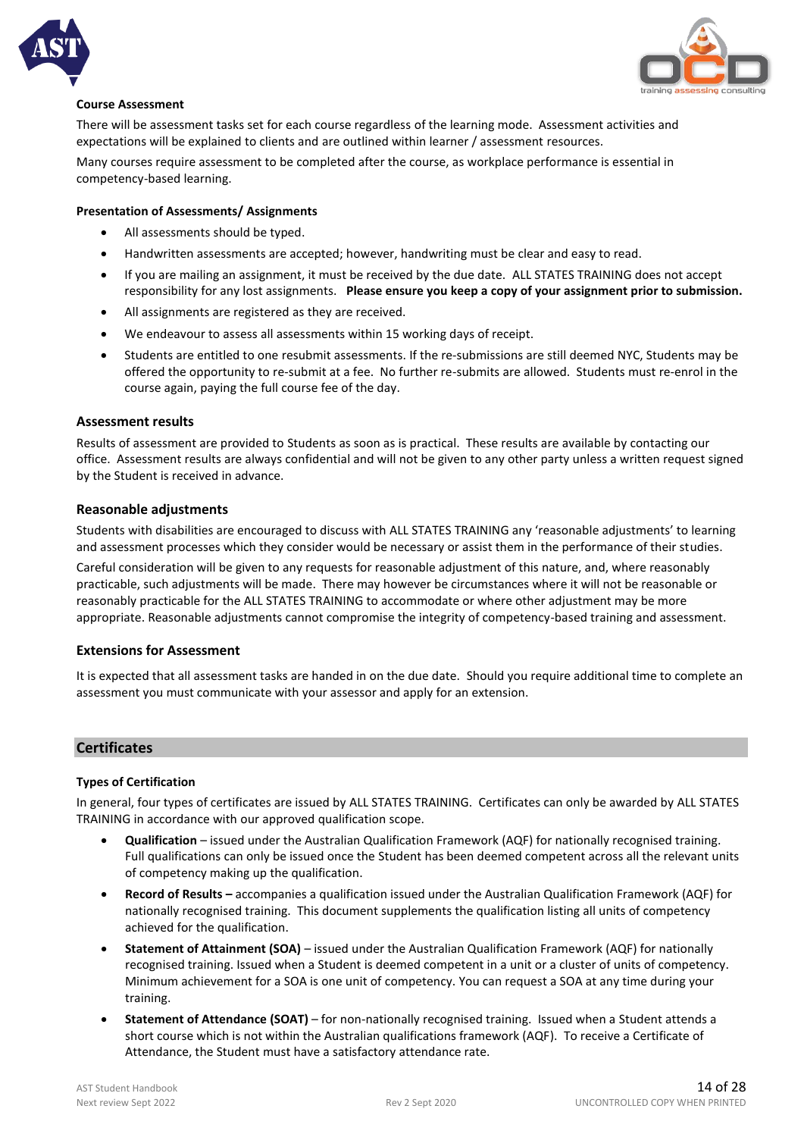



#### **Course Assessment**

There will be assessment tasks set for each course regardless of the learning mode. Assessment activities and expectations will be explained to clients and are outlined within learner / assessment resources.

Many courses require assessment to be completed after the course, as workplace performance is essential in competency-based learning.

#### **Presentation of Assessments/ Assignments**

- All assessments should be typed.
- Handwritten assessments are accepted; however, handwriting must be clear and easy to read.
- If you are mailing an assignment, it must be received by the due date. ALL STATES TRAINING does not accept responsibility for any lost assignments. **Please ensure you keep a copy of your assignment prior to submission.**
- All assignments are registered as they are received.
- We endeavour to assess all assessments within 15 working days of receipt.
- Students are entitled to one resubmit assessments. If the re-submissions are still deemed NYC, Students may be offered the opportunity to re-submit at a fee. No further re-submits are allowed. Students must re-enrol in the course again, paying the full course fee of the day.

#### **Assessment results**

Results of assessment are provided to Students as soon as is practical. These results are available by contacting our office. Assessment results are always confidential and will not be given to any other party unless a written request signed by the Student is received in advance.

#### **Reasonable adjustments**

Students with disabilities are encouraged to discuss with ALL STATES TRAINING any 'reasonable adjustments' to learning and assessment processes which they consider would be necessary or assist them in the performance of their studies.

Careful consideration will be given to any requests for reasonable adjustment of this nature, and, where reasonably practicable, such adjustments will be made. There may however be circumstances where it will not be reasonable or reasonably practicable for the ALL STATES TRAINING to accommodate or where other adjustment may be more appropriate. Reasonable adjustments cannot compromise the integrity of competency-based training and assessment.

#### **Extensions for Assessment**

It is expected that all assessment tasks are handed in on the due date. Should you require additional time to complete an assessment you must communicate with your assessor and apply for an extension.

#### **Certificates**

#### **Types of Certification**

In general, four types of certificates are issued by ALL STATES TRAINING. Certificates can only be awarded by ALL STATES TRAINING in accordance with our approved qualification scope.

- **Qualification** issued under the Australian Qualification Framework (AQF) for nationally recognised training. Full qualifications can only be issued once the Student has been deemed competent across all the relevant units of competency making up the qualification.
- **Record of Results –** accompanies a qualification issued under the Australian Qualification Framework (AQF) for nationally recognised training. This document supplements the qualification listing all units of competency achieved for the qualification.
- **Statement of Attainment (SOA)**  issued under the Australian Qualification Framework (AQF) for nationally recognised training. Issued when a Student is deemed competent in a unit or a cluster of units of competency. Minimum achievement for a SOA is one unit of competency. You can request a SOA at any time during your training.
- **Statement of Attendance (SOAT)** for non-nationally recognised training. Issued when a Student attends a short course which is not within the Australian qualifications framework (AQF). To receive a Certificate of Attendance, the Student must have a satisfactory attendance rate.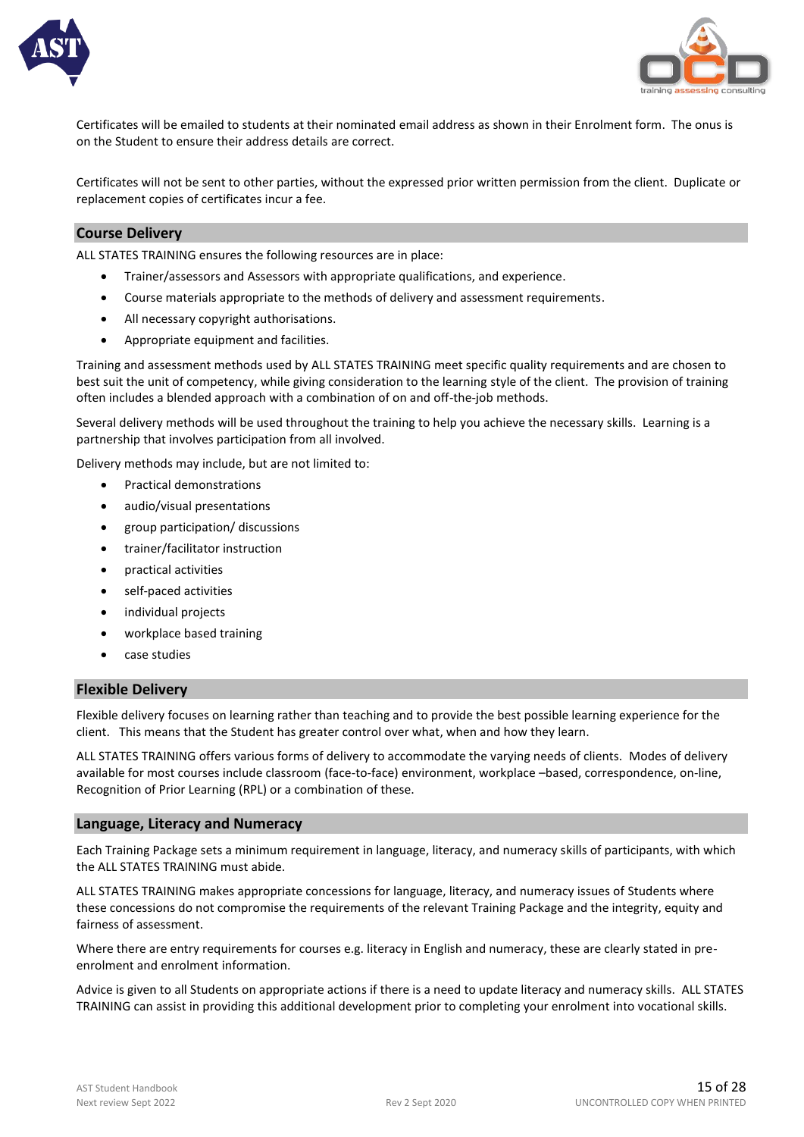



Certificates will be emailed to students at their nominated email address as shown in their Enrolment form. The onus is on the Student to ensure their address details are correct.

Certificates will not be sent to other parties, without the expressed prior written permission from the client. Duplicate or replacement copies of certificates incur a fee.

#### **Course Delivery**

ALL STATES TRAINING ensures the following resources are in place:

- Trainer/assessors and Assessors with appropriate qualifications, and experience.
- Course materials appropriate to the methods of delivery and assessment requirements.
- All necessary copyright authorisations.
- Appropriate equipment and facilities.

Training and assessment methods used by ALL STATES TRAINING meet specific quality requirements and are chosen to best suit the unit of competency, while giving consideration to the learning style of the client. The provision of training often includes a blended approach with a combination of on and off-the-job methods.

Several delivery methods will be used throughout the training to help you achieve the necessary skills. Learning is a partnership that involves participation from all involved.

Delivery methods may include, but are not limited to:

- Practical demonstrations
- audio/visual presentations
- group participation/ discussions
- trainer/facilitator instruction
- practical activities
- self-paced activities
- individual projects
- workplace based training
- case studies

#### **Flexible Delivery**

Flexible delivery focuses on learning rather than teaching and to provide the best possible learning experience for the client. This means that the Student has greater control over what, when and how they learn.

ALL STATES TRAINING offers various forms of delivery to accommodate the varying needs of clients. Modes of delivery available for most courses include classroom (face-to-face) environment, workplace –based, correspondence, on-line, Recognition of Prior Learning (RPL) or a combination of these.

#### **Language, Literacy and Numeracy**

Each Training Package sets a minimum requirement in language, literacy, and numeracy skills of participants, with which the ALL STATES TRAINING must abide.

ALL STATES TRAINING makes appropriate concessions for language, literacy, and numeracy issues of Students where these concessions do not compromise the requirements of the relevant Training Package and the integrity, equity and fairness of assessment.

Where there are entry requirements for courses e.g. literacy in English and numeracy, these are clearly stated in preenrolment and enrolment information.

Advice is given to all Students on appropriate actions if there is a need to update literacy and numeracy skills. ALL STATES TRAINING can assist in providing this additional development prior to completing your enrolment into vocational skills.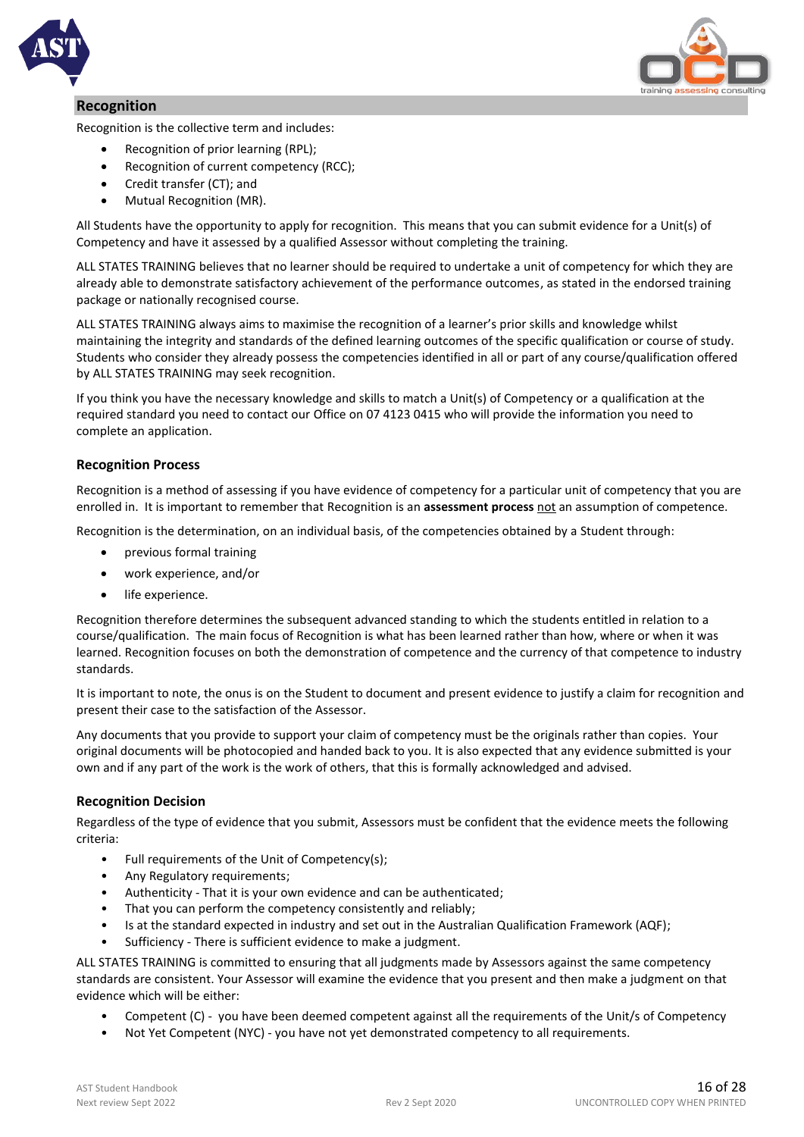

#### **Recognition**



Recognition is the collective term and includes:

- Recognition of prior learning (RPL);
- Recognition of current competency (RCC);
- Credit transfer (CT); and
- Mutual Recognition (MR).

All Students have the opportunity to apply for recognition. This means that you can submit evidence for a Unit(s) of Competency and have it assessed by a qualified Assessor without completing the training.

ALL STATES TRAINING believes that no learner should be required to undertake a unit of competency for which they are already able to demonstrate satisfactory achievement of the performance outcomes, as stated in the endorsed training package or nationally recognised course.

ALL STATES TRAINING always aims to maximise the recognition of a learner's prior skills and knowledge whilst maintaining the integrity and standards of the defined learning outcomes of the specific qualification or course of study. Students who consider they already possess the competencies identified in all or part of any course/qualification offered by ALL STATES TRAINING may seek recognition.

If you think you have the necessary knowledge and skills to match a Unit(s) of Competency or a qualification at the required standard you need to contact our Office on 07 4123 0415 who will provide the information you need to complete an application.

#### **Recognition Process**

Recognition is a method of assessing if you have evidence of competency for a particular unit of competency that you are enrolled in. It is important to remember that Recognition is an **assessment process** not an assumption of competence.

Recognition is the determination, on an individual basis, of the competencies obtained by a Student through:

- previous formal training
- work experience, and/or
- life experience.

Recognition therefore determines the subsequent advanced standing to which the students entitled in relation to a course/qualification. The main focus of Recognition is what has been learned rather than how, where or when it was learned. Recognition focuses on both the demonstration of competence and the currency of that competence to industry standards.

It is important to note, the onus is on the Student to document and present evidence to justify a claim for recognition and present their case to the satisfaction of the Assessor.

Any documents that you provide to support your claim of competency must be the originals rather than copies. Your original documents will be photocopied and handed back to you. It is also expected that any evidence submitted is your own and if any part of the work is the work of others, that this is formally acknowledged and advised.

#### **Recognition Decision**

Regardless of the type of evidence that you submit, Assessors must be confident that the evidence meets the following criteria:

- Full requirements of the Unit of Competency(s);
- Any Regulatory requirements;
- Authenticity That it is your own evidence and can be authenticated;
- That you can perform the competency consistently and reliably;
- Is at the standard expected in industry and set out in the Australian Qualification Framework (AQF);
- Sufficiency There is sufficient evidence to make a judgment.

ALL STATES TRAINING is committed to ensuring that all judgments made by Assessors against the same competency standards are consistent. Your Assessor will examine the evidence that you present and then make a judgment on that evidence which will be either:

- Competent (C) you have been deemed competent against all the requirements of the Unit/s of Competency
- Not Yet Competent (NYC) you have not yet demonstrated competency to all requirements.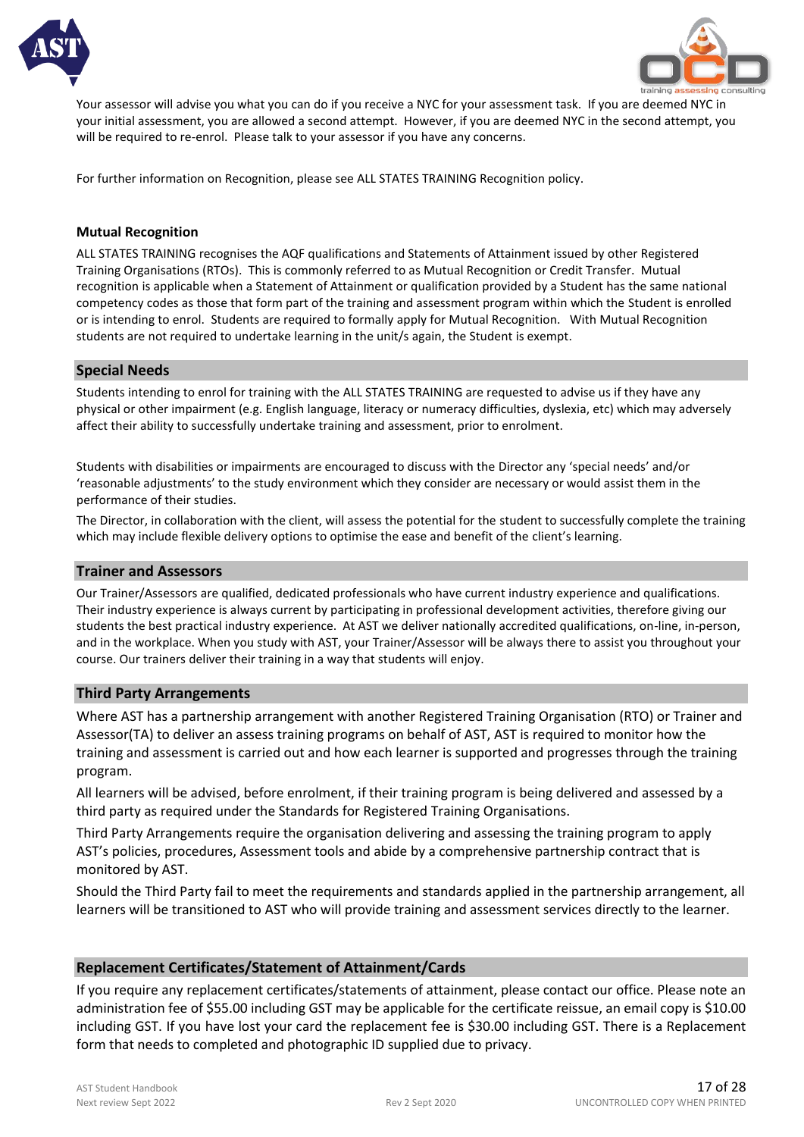



Your assessor will advise you what you can do if you receive a NYC for your assessment task. If you are deemed NYC in your initial assessment, you are allowed a second attempt. However, if you are deemed NYC in the second attempt, you will be required to re-enrol. Please talk to your assessor if you have any concerns.

For further information on Recognition, please see ALL STATES TRAINING Recognition policy.

#### **Mutual Recognition**

ALL STATES TRAINING recognises the AQF qualifications and Statements of Attainment issued by other Registered Training Organisations (RTOs). This is commonly referred to as Mutual Recognition or Credit Transfer. Mutual recognition is applicable when a Statement of Attainment or qualification provided by a Student has the same national competency codes as those that form part of the training and assessment program within which the Student is enrolled or is intending to enrol. Students are required to formally apply for Mutual Recognition. With Mutual Recognition students are not required to undertake learning in the unit/s again, the Student is exempt.

#### **Special Needs**

Students intending to enrol for training with the ALL STATES TRAINING are requested to advise us if they have any physical or other impairment (e.g. English language, literacy or numeracy difficulties, dyslexia, etc) which may adversely affect their ability to successfully undertake training and assessment, prior to enrolment.

Students with disabilities or impairments are encouraged to discuss with the Director any 'special needs' and/or 'reasonable adjustments' to the study environment which they consider are necessary or would assist them in the performance of their studies.

The Director, in collaboration with the client, will assess the potential for the student to successfully complete the training which may include flexible delivery options to optimise the ease and benefit of the client's learning.

#### **Trainer and Assessors**

Our Trainer/Assessors are qualified, dedicated professionals who have current industry experience and qualifications. Their industry experience is always current by participating in professional development activities, therefore giving our students the best practical industry experience. At AST we deliver nationally accredited qualifications, on-line, in-person, and in the workplace. When you study with AST, your Trainer/Assessor will be always there to assist you throughout your course. Our trainers deliver their training in a way that students will enjoy.

#### **Third Party Arrangements**

Where AST has a partnership arrangement with another Registered Training Organisation (RTO) or Trainer and Assessor(TA) to deliver an assess training programs on behalf of AST, AST is required to monitor how the training and assessment is carried out and how each learner is supported and progresses through the training program.

All learners will be advised, before enrolment, if their training program is being delivered and assessed by a third party as required under the Standards for Registered Training Organisations.

Third Party Arrangements require the organisation delivering and assessing the training program to apply AST's policies, procedures, Assessment tools and abide by a comprehensive partnership contract that is monitored by AST.

Should the Third Party fail to meet the requirements and standards applied in the partnership arrangement, all learners will be transitioned to AST who will provide training and assessment services directly to the learner.

#### **Replacement Certificates/Statement of Attainment/Cards**

If you require any replacement certificates/statements of attainment, please contact our office. Please note an administration fee of \$55.00 including GST may be applicable for the certificate reissue, an email copy is \$10.00 including GST. If you have lost your card the replacement fee is \$30.00 including GST. There is a Replacement form that needs to completed and photographic ID supplied due to privacy.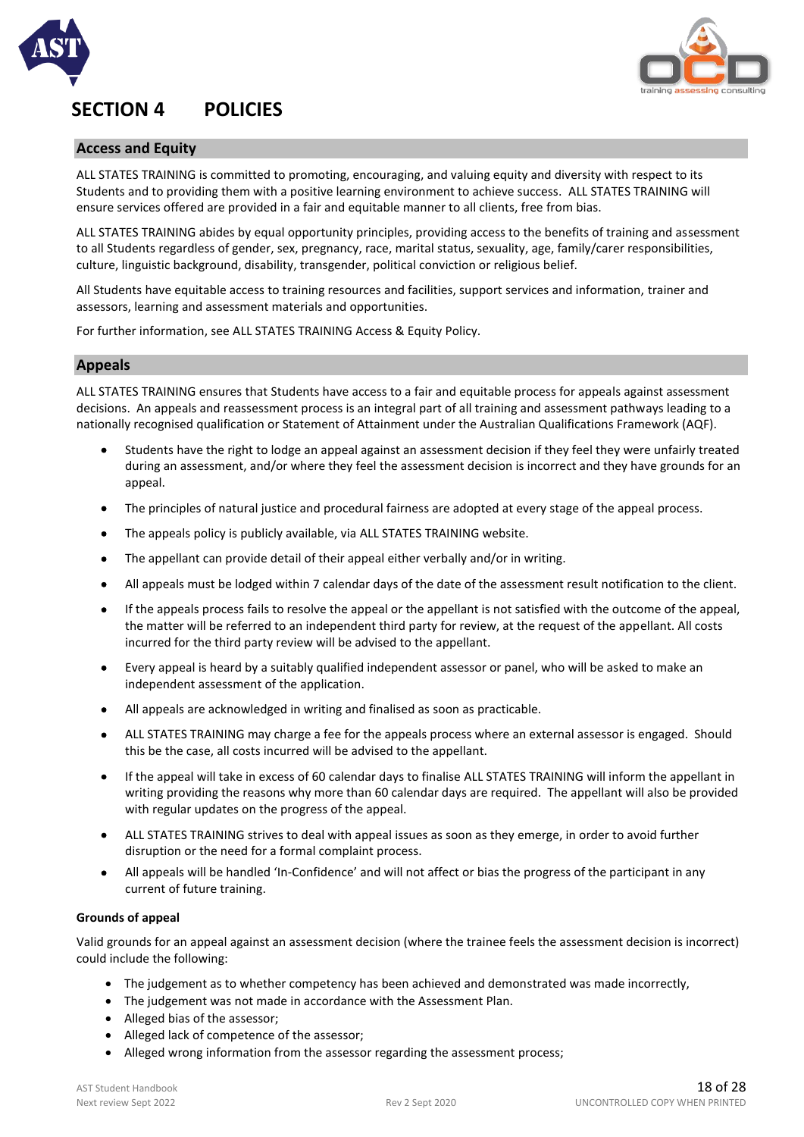

## **SECTION 4 POLICIES**



#### **Access and Equity**

ALL STATES TRAINING is committed to promoting, encouraging, and valuing equity and diversity with respect to its Students and to providing them with a positive learning environment to achieve success. ALL STATES TRAINING will ensure services offered are provided in a fair and equitable manner to all clients, free from bias.

ALL STATES TRAINING abides by equal opportunity principles, providing access to the benefits of training and assessment to all Students regardless of gender, sex, pregnancy, race, marital status, sexuality, age, family/carer responsibilities, culture, linguistic background, disability, transgender, political conviction or religious belief.

All Students have equitable access to training resources and facilities, support services and information, trainer and assessors, learning and assessment materials and opportunities.

For further information, see ALL STATES TRAINING Access & Equity Policy.

#### **Appeals**

ALL STATES TRAINING ensures that Students have access to a fair and equitable process for appeals against assessment decisions. An appeals and reassessment process is an integral part of all training and assessment pathways leading to a nationally recognised qualification or Statement of Attainment under the Australian Qualifications Framework (AQF).

- Students have the right to lodge an appeal against an assessment decision if they feel they were unfairly treated during an assessment, and/or where they feel the assessment decision is incorrect and they have grounds for an appeal.
- The principles of natural justice and procedural fairness are adopted at every stage of the appeal process.
- The appeals policy is publicly available, via ALL STATES TRAINING website.
- The appellant can provide detail of their appeal either verbally and/or in writing.
- All appeals must be lodged within 7 calendar days of the date of the assessment result notification to the client.
- If the appeals process fails to resolve the appeal or the appellant is not satisfied with the outcome of the appeal, the matter will be referred to an independent third party for review, at the request of the appellant. All costs incurred for the third party review will be advised to the appellant.
- Every appeal is heard by a suitably qualified independent assessor or panel, who will be asked to make an independent assessment of the application.
- All appeals are acknowledged in writing and finalised as soon as practicable.
- ALL STATES TRAINING may charge a fee for the appeals process where an external assessor is engaged. Should this be the case, all costs incurred will be advised to the appellant.
- If the appeal will take in excess of 60 calendar days to finalise ALL STATES TRAINING will inform the appellant in writing providing the reasons why more than 60 calendar days are required. The appellant will also be provided with regular updates on the progress of the appeal.
- ALL STATES TRAINING strives to deal with appeal issues as soon as they emerge, in order to avoid further disruption or the need for a formal complaint process.
- All appeals will be handled 'In-Confidence' and will not affect or bias the progress of the participant in any current of future training.

#### **Grounds of appeal**

Valid grounds for an appeal against an assessment decision (where the trainee feels the assessment decision is incorrect) could include the following:

- The judgement as to whether competency has been achieved and demonstrated was made incorrectly,
- The judgement was not made in accordance with the Assessment Plan.
- Alleged bias of the assessor;
- Alleged lack of competence of the assessor;
- Alleged wrong information from the assessor regarding the assessment process;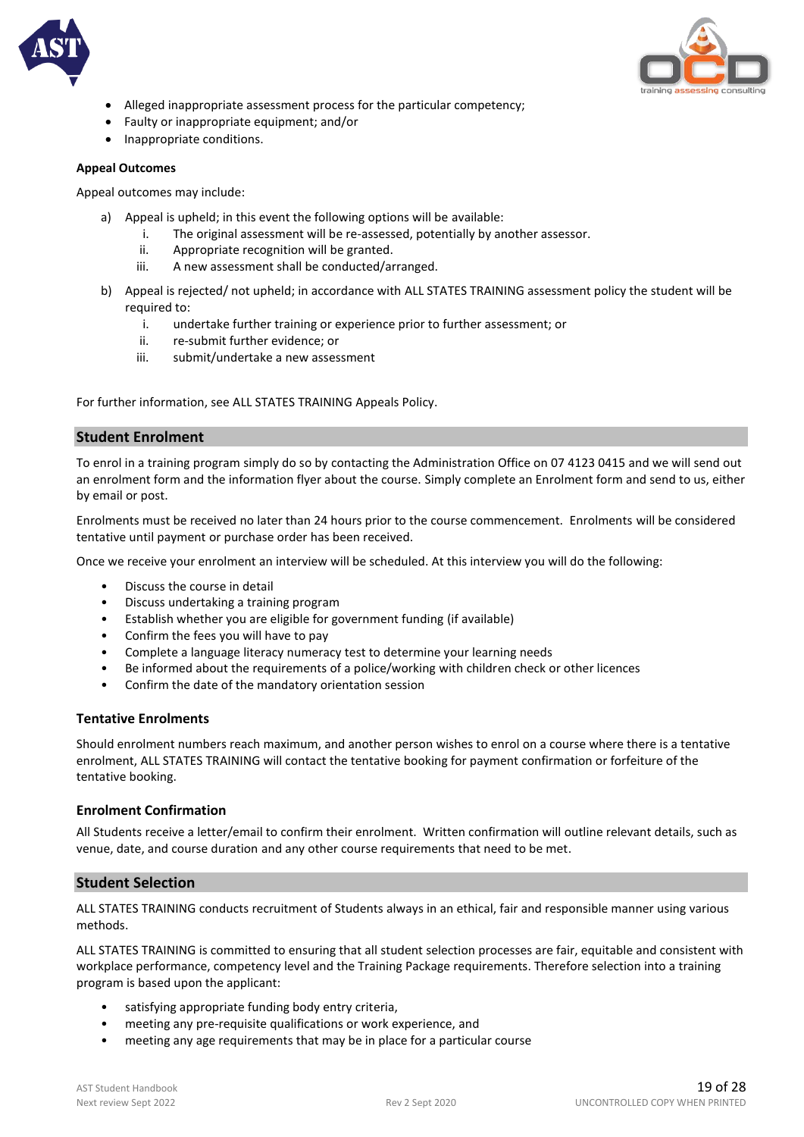



- Alleged inappropriate assessment process for the particular competency;
- Faulty or inappropriate equipment; and/or
- Inappropriate conditions.

#### **Appeal Outcomes**

Appeal outcomes may include:

- a) Appeal is upheld; in this event the following options will be available:
	- i. The original assessment will be re-assessed, potentially by another assessor.
	- ii. Appropriate recognition will be granted.
	- iii. A new assessment shall be conducted/arranged.
- b) Appeal is rejected/ not upheld; in accordance with ALL STATES TRAINING assessment policy the student will be required to:
	- i. undertake further training or experience prior to further assessment; or
	- ii. re-submit further evidence; or
	- iii. submit/undertake a new assessment

For further information, see ALL STATES TRAINING Appeals Policy.

#### **Student Enrolment**

To enrol in a training program simply do so by contacting the Administration Office on 07 4123 0415 and we will send out an enrolment form and the information flyer about the course. Simply complete an Enrolment form and send to us, either by email or post.

Enrolments must be received no later than 24 hours prior to the course commencement. Enrolments will be considered tentative until payment or purchase order has been received.

Once we receive your enrolment an interview will be scheduled. At this interview you will do the following:

- Discuss the course in detail
- Discuss undertaking a training program
- Establish whether you are eligible for government funding (if available)
- Confirm the fees you will have to pay
- Complete a language literacy numeracy test to determine your learning needs
- Be informed about the requirements of a police/working with children check or other licences
- Confirm the date of the mandatory orientation session

#### **Tentative Enrolments**

Should enrolment numbers reach maximum, and another person wishes to enrol on a course where there is a tentative enrolment, ALL STATES TRAINING will contact the tentative booking for payment confirmation or forfeiture of the tentative booking.

#### **Enrolment Confirmation**

All Students receive a letter/email to confirm their enrolment. Written confirmation will outline relevant details, such as venue, date, and course duration and any other course requirements that need to be met.

#### **Student Selection**

ALL STATES TRAINING conducts recruitment of Students always in an ethical, fair and responsible manner using various methods.

ALL STATES TRAINING is committed to ensuring that all student selection processes are fair, equitable and consistent with workplace performance, competency level and the Training Package requirements. Therefore selection into a training program is based upon the applicant:

- satisfying appropriate funding body entry criteria,
- meeting any pre-requisite qualifications or work experience, and
- meeting any age requirements that may be in place for a particular course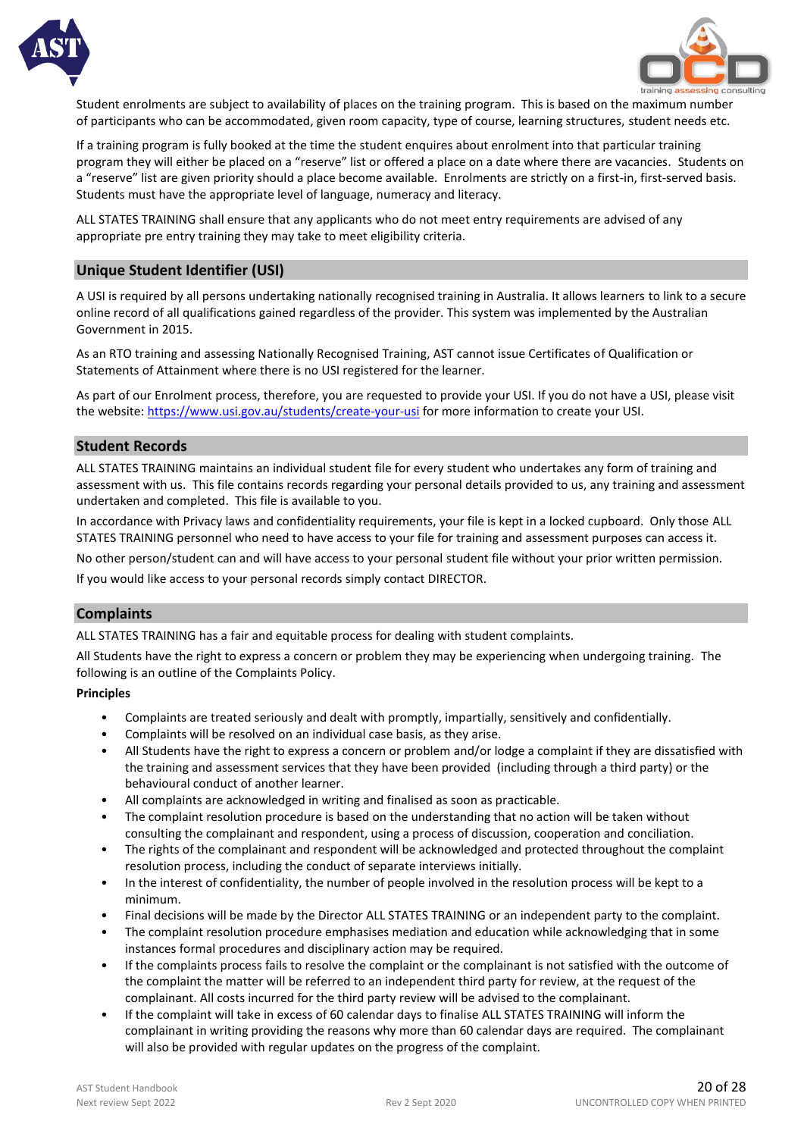



Student enrolments are subject to availability of places on the training program. This is based on the maximum number of participants who can be accommodated, given room capacity, type of course, learning structures, student needs etc.

If a training program is fully booked at the time the student enquires about enrolment into that particular training program they will either be placed on a "reserve" list or offered a place on a date where there are vacancies. Students on a "reserve" list are given priority should a place become available. Enrolments are strictly on a first-in, first-served basis. Students must have the appropriate level of language, numeracy and literacy.

ALL STATES TRAINING shall ensure that any applicants who do not meet entry requirements are advised of any appropriate pre entry training they may take to meet eligibility criteria.

#### **Unique Student Identifier (USI)**

A USI is required by all persons undertaking nationally recognised training in Australia. It allows learners to link to a secure online record of all qualifications gained regardless of the provider. This system was implemented by the Australian Government in 2015.

As an RTO training and assessing Nationally Recognised Training, AST cannot issue Certificates of Qualification or Statements of Attainment where there is no USI registered for the learner.

As part of our Enrolment process, therefore, you are requested to provide your USI. If you do not have a USI, please visit the website:<https://www.usi.gov.au/students/create-your-usi> for more information to create your USI.

#### **Student Records**

ALL STATES TRAINING maintains an individual student file for every student who undertakes any form of training and assessment with us. This file contains records regarding your personal details provided to us, any training and assessment undertaken and completed. This file is available to you.

In accordance with Privacy laws and confidentiality requirements, your file is kept in a locked cupboard. Only those ALL STATES TRAINING personnel who need to have access to your file for training and assessment purposes can access it.

No other person/student can and will have access to your personal student file without your prior written permission.

If you would like access to your personal records simply contact DIRECTOR.

#### **Complaints**

ALL STATES TRAINING has a fair and equitable process for dealing with student complaints.

All Students have the right to express a concern or problem they may be experiencing when undergoing training. The following is an outline of the Complaints Policy.

#### **Principles**

- Complaints are treated seriously and dealt with promptly, impartially, sensitively and confidentially.
- Complaints will be resolved on an individual case basis, as they arise.
- All Students have the right to express a concern or problem and/or lodge a complaint if they are dissatisfied with the training and assessment services that they have been provided (including through a third party) or the behavioural conduct of another learner.
- All complaints are acknowledged in writing and finalised as soon as practicable.
- The complaint resolution procedure is based on the understanding that no action will be taken without consulting the complainant and respondent, using a process of discussion, cooperation and conciliation.
- The rights of the complainant and respondent will be acknowledged and protected throughout the complaint resolution process, including the conduct of separate interviews initially.
- In the interest of confidentiality, the number of people involved in the resolution process will be kept to a minimum.
- Final decisions will be made by the Director ALL STATES TRAINING or an independent party to the complaint.
- The complaint resolution procedure emphasises mediation and education while acknowledging that in some instances formal procedures and disciplinary action may be required.
- If the complaints process fails to resolve the complaint or the complainant is not satisfied with the outcome of the complaint the matter will be referred to an independent third party for review, at the request of the complainant. All costs incurred for the third party review will be advised to the complainant.
- If the complaint will take in excess of 60 calendar days to finalise ALL STATES TRAINING will inform the complainant in writing providing the reasons why more than 60 calendar days are required. The complainant will also be provided with regular updates on the progress of the complaint.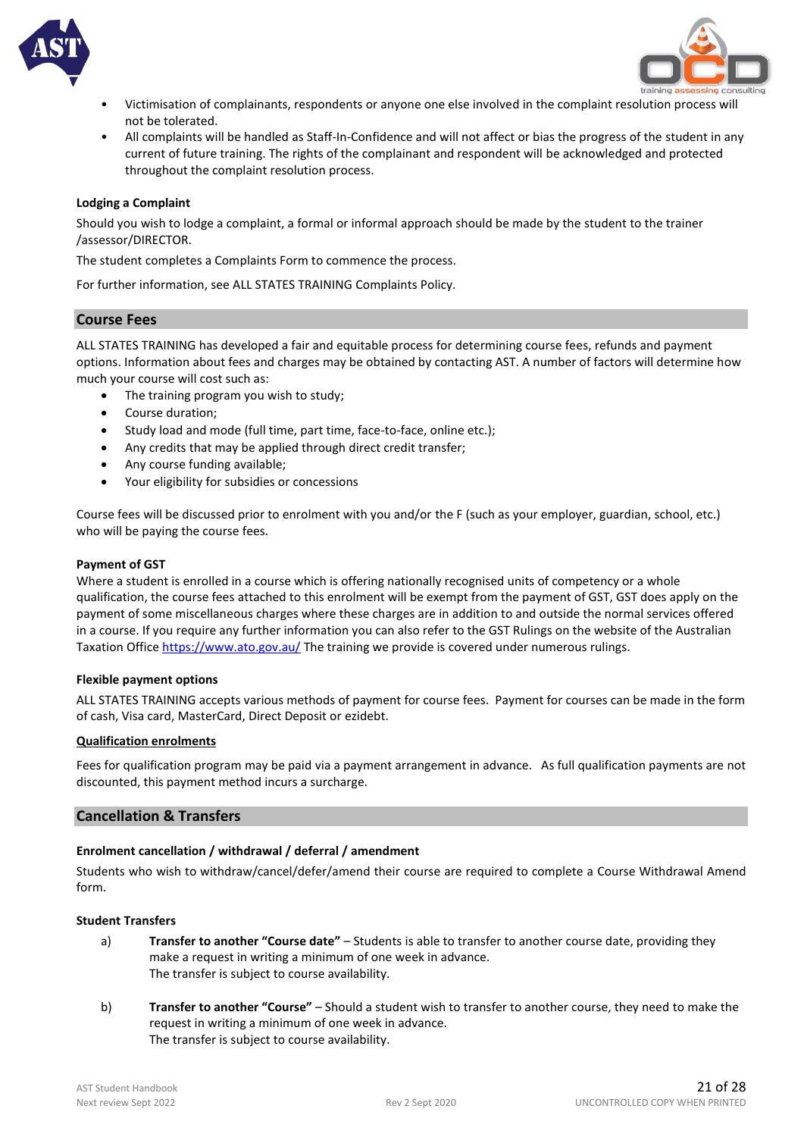



- Victimisation of complainants, respondents or anyone one else involved in the complaint resolution process will not be tolerated.
- All complaints will be handled as Staff-In-Confidence and will not affect or bias the progress of the student in any current of future training. The rights of the complainant and respondent will be acknowledged and protected throughout the complaint resolution process.

#### **Lodging a Complaint**

Should you wish to lodge a complaint, a formal or informal approach should be made by the student to the trainer /assessor/DIRECTOR.

The student completes a Complaints Form to commence the process.

For further information, see ALL STATES TRAINING Complaints Policy.

#### **Course Fees**

ALL STATES TRAINING has developed a fair and equitable process for determining course fees, refunds and payment options. Information about fees and charges may be obtained by contacting AST. A number of factors will determine how much your course will cost such as:

- The training program you wish to study;
- Course duration;
- Study load and mode (full time, part time, face-to-face, online etc.);
- Any credits that may be applied through direct credit transfer;
- Any course funding available;
- Your eligibility for subsidies or concessions

Course fees will be discussed prior to enrolment with you and/or the F (such as your employer, guardian, school, etc.) who will be paying the course fees.

#### **Payment of GST**

Where a student is enrolled in a course which is offering nationally recognised units of competency or a whole qualification, the course fees attached to this enrolment will be exempt from the payment of GST, GST does apply on the payment of some miscellaneous charges where these charges are in addition to and outside the normal services offered in a course. If you require any further information you can also refer to the GST Rulings on the website of the Australian Taxation Office<https://www.ato.gov.au/> The training we provide is covered under numerous rulings.

#### **Flexible payment options**

ALL STATES TRAINING accepts various methods of payment for course fees. Payment for courses can be made in the form of cash, Visa card, MasterCard, Direct Deposit or ezidebt.

#### **Qualification enrolments**

Fees for qualification program may be paid via a payment arrangement in advance. As full qualification payments are not discounted, this payment method incurs a surcharge.

#### **Cancellation & Transfers**

#### **Enrolment cancellation / withdrawal / deferral / amendment**

Students who wish to withdraw/cancel/defer/amend their course are required to complete a Course Withdrawal Amend form.

#### **Student Transfers**

- a) **Transfer to another "Course date"** Students is able to transfer to another course date, providing they make a request in writing a minimum of one week in advance. The transfer is subject to course availability.
- b) **Transfer to another "Course"** Should a student wish to transfer to another course, they need to make the request in writing a minimum of one week in advance. The transfer is subject to course availability.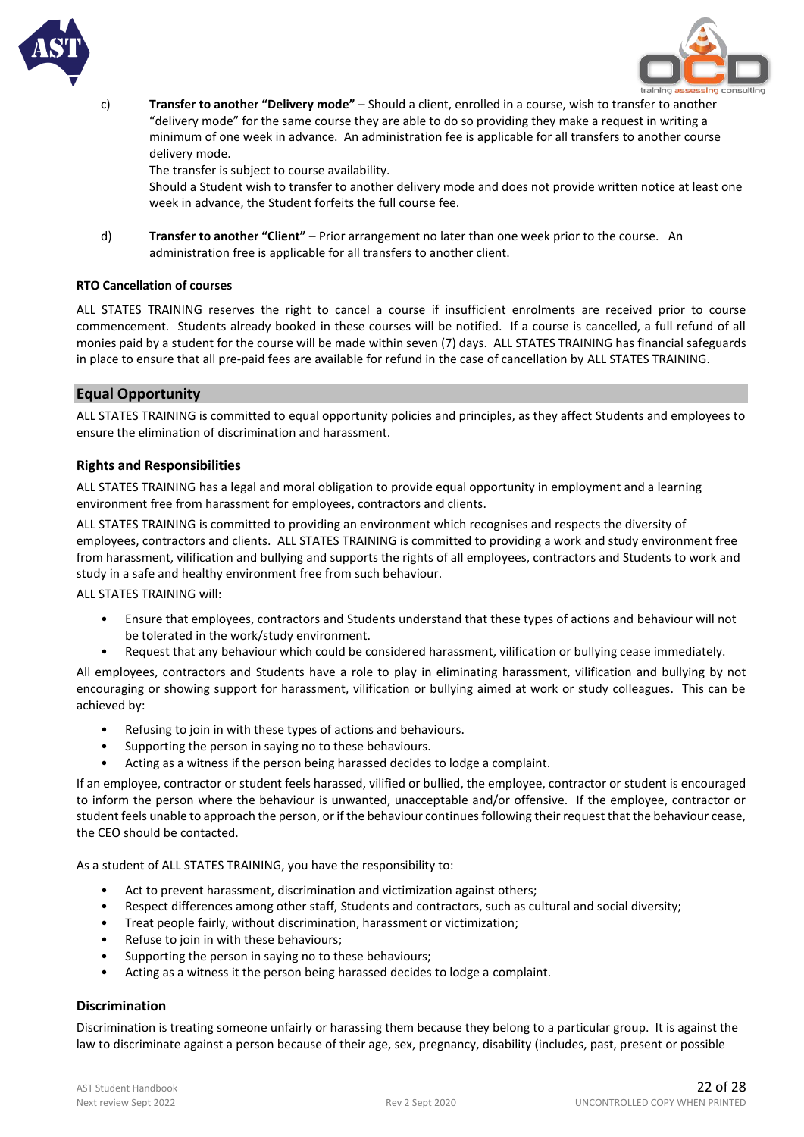



c) **Transfer to another "Delivery mode"** – Should a client, enrolled in a course, wish to transfer to another "delivery mode" for the same course they are able to do so providing they make a request in writing a minimum of one week in advance. An administration fee is applicable for all transfers to another course delivery mode.

The transfer is subject to course availability.

Should a Student wish to transfer to another delivery mode and does not provide written notice at least one week in advance, the Student forfeits the full course fee.

d) **Transfer to another "Client"** – Prior arrangement no later than one week prior to the course. An administration free is applicable for all transfers to another client.

#### **RTO Cancellation of courses**

ALL STATES TRAINING reserves the right to cancel a course if insufficient enrolments are received prior to course commencement. Students already booked in these courses will be notified. If a course is cancelled, a full refund of all monies paid by a student for the course will be made within seven (7) days. ALL STATES TRAINING has financial safeguards in place to ensure that all pre-paid fees are available for refund in the case of cancellation by ALL STATES TRAINING.

#### **Equal Opportunity**

ALL STATES TRAINING is committed to equal opportunity policies and principles, as they affect Students and employees to ensure the elimination of discrimination and harassment.

#### **Rights and Responsibilities**

ALL STATES TRAINING has a legal and moral obligation to provide equal opportunity in employment and a learning environment free from harassment for employees, contractors and clients.

ALL STATES TRAINING is committed to providing an environment which recognises and respects the diversity of employees, contractors and clients. ALL STATES TRAINING is committed to providing a work and study environment free from harassment, vilification and bullying and supports the rights of all employees, contractors and Students to work and study in a safe and healthy environment free from such behaviour.

ALL STATES TRAINING will:

- Ensure that employees, contractors and Students understand that these types of actions and behaviour will not be tolerated in the work/study environment.
- Request that any behaviour which could be considered harassment, vilification or bullying cease immediately.

All employees, contractors and Students have a role to play in eliminating harassment, vilification and bullying by not encouraging or showing support for harassment, vilification or bullying aimed at work or study colleagues. This can be achieved by:

- Refusing to join in with these types of actions and behaviours.
- Supporting the person in saying no to these behaviours.
- Acting as a witness if the person being harassed decides to lodge a complaint.

If an employee, contractor or student feels harassed, vilified or bullied, the employee, contractor or student is encouraged to inform the person where the behaviour is unwanted, unacceptable and/or offensive. If the employee, contractor or student feels unable to approach the person, or if the behaviour continues following their request that the behaviour cease, the CEO should be contacted.

As a student of ALL STATES TRAINING, you have the responsibility to:

- Act to prevent harassment, discrimination and victimization against others;
- Respect differences among other staff, Students and contractors, such as cultural and social diversity;
- Treat people fairly, without discrimination, harassment or victimization;
- Refuse to join in with these behaviours;
- Supporting the person in saying no to these behaviours;
- Acting as a witness it the person being harassed decides to lodge a complaint.

#### **Discrimination**

Discrimination is treating someone unfairly or harassing them because they belong to a particular group. It is against the law to discriminate against a person because of their age, sex, pregnancy, disability (includes, past, present or possible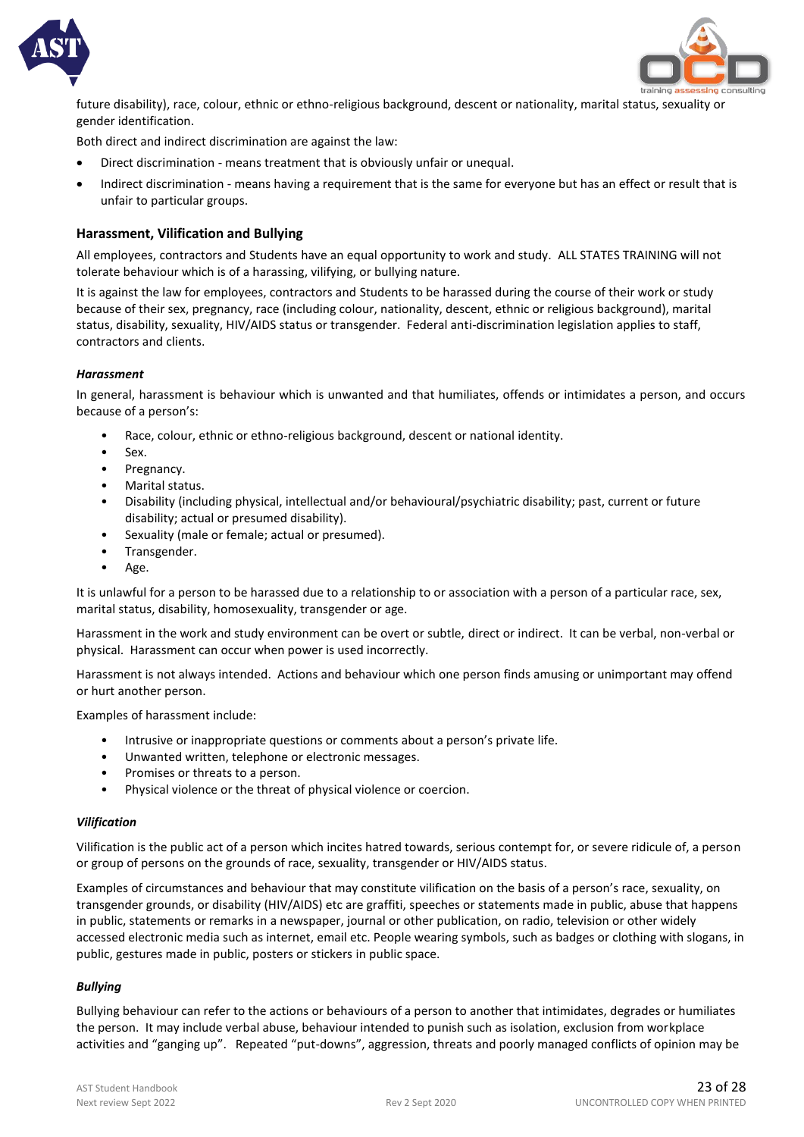



future disability), race, colour, ethnic or ethno-religious background, descent or nationality, marital status, sexuality or gender identification.

Both direct and indirect discrimination are against the law:

- Direct discrimination means treatment that is obviously unfair or unequal.
- Indirect discrimination means having a requirement that is the same for everyone but has an effect or result that is unfair to particular groups.

#### **Harassment, Vilification and Bullying**

All employees, contractors and Students have an equal opportunity to work and study. ALL STATES TRAINING will not tolerate behaviour which is of a harassing, vilifying, or bullying nature.

It is against the law for employees, contractors and Students to be harassed during the course of their work or study because of their sex, pregnancy, race (including colour, nationality, descent, ethnic or religious background), marital status, disability, sexuality, HIV/AIDS status or transgender. Federal anti-discrimination legislation applies to staff, contractors and clients.

#### *Harassment*

In general, harassment is behaviour which is unwanted and that humiliates, offends or intimidates a person, and occurs because of a person's:

- Race, colour, ethnic or ethno-religious background, descent or national identity.
- Sex.
- Pregnancy.
- Marital status.
- Disability (including physical, intellectual and/or behavioural/psychiatric disability; past, current or future disability; actual or presumed disability).
- Sexuality (male or female; actual or presumed).
- Transgender.
- Age.

It is unlawful for a person to be harassed due to a relationship to or association with a person of a particular race, sex, marital status, disability, homosexuality, transgender or age.

Harassment in the work and study environment can be overt or subtle, direct or indirect. It can be verbal, non-verbal or physical. Harassment can occur when power is used incorrectly.

Harassment is not always intended. Actions and behaviour which one person finds amusing or unimportant may offend or hurt another person.

Examples of harassment include:

- Intrusive or inappropriate questions or comments about a person's private life.
- Unwanted written, telephone or electronic messages.
- Promises or threats to a person.
- Physical violence or the threat of physical violence or coercion.

#### *Vilification*

Vilification is the public act of a person which incites hatred towards, serious contempt for, or severe ridicule of, a person or group of persons on the grounds of race, sexuality, transgender or HIV/AIDS status.

Examples of circumstances and behaviour that may constitute vilification on the basis of a person's race, sexuality, on transgender grounds, or disability (HIV/AIDS) etc are graffiti, speeches or statements made in public, abuse that happens in public, statements or remarks in a newspaper, journal or other publication, on radio, television or other widely accessed electronic media such as internet, email etc. People wearing symbols, such as badges or clothing with slogans, in public, gestures made in public, posters or stickers in public space.

#### *Bullying*

Bullying behaviour can refer to the actions or behaviours of a person to another that intimidates, degrades or humiliates the person. It may include verbal abuse, behaviour intended to punish such as isolation, exclusion from workplace activities and "ganging up". Repeated "put-downs", aggression, threats and poorly managed conflicts of opinion may be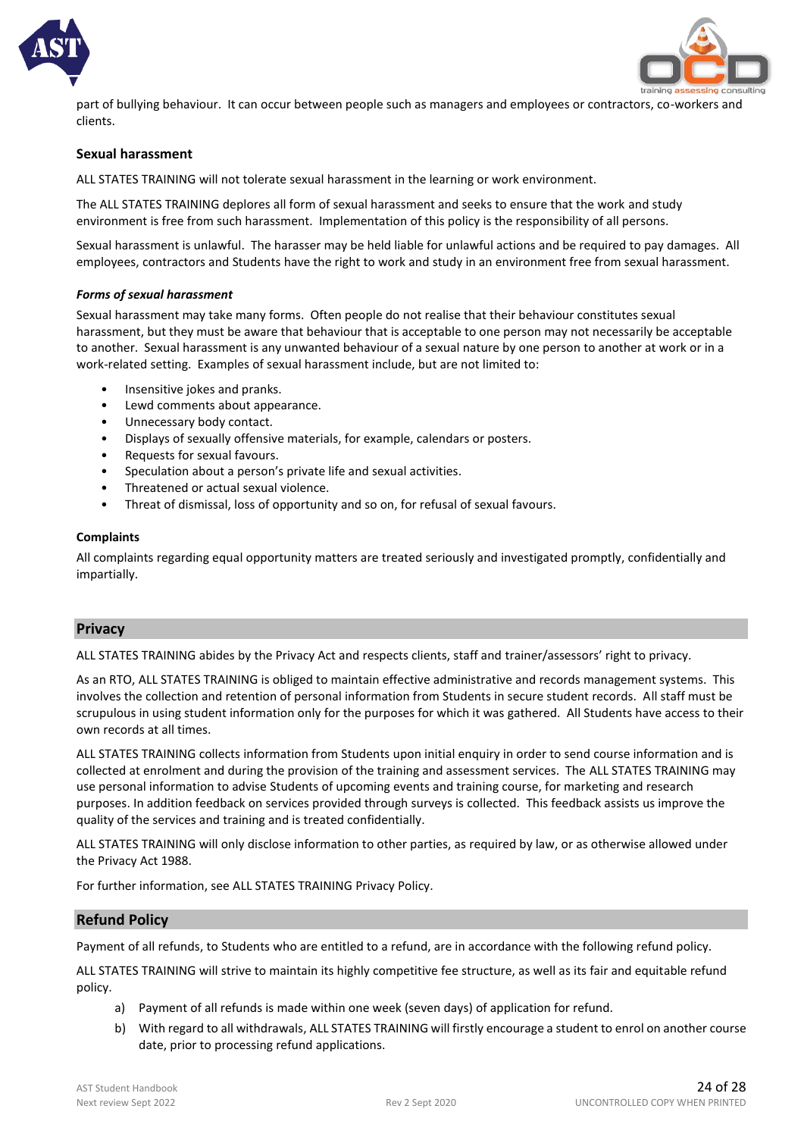



part of bullying behaviour. It can occur between people such as managers and employees or contractors, co-workers and clients.

#### **Sexual harassment**

ALL STATES TRAINING will not tolerate sexual harassment in the learning or work environment.

The ALL STATES TRAINING deplores all form of sexual harassment and seeks to ensure that the work and study environment is free from such harassment. Implementation of this policy is the responsibility of all persons.

Sexual harassment is unlawful. The harasser may be held liable for unlawful actions and be required to pay damages. All employees, contractors and Students have the right to work and study in an environment free from sexual harassment.

#### *Forms of sexual harassment*

Sexual harassment may take many forms. Often people do not realise that their behaviour constitutes sexual harassment, but they must be aware that behaviour that is acceptable to one person may not necessarily be acceptable to another. Sexual harassment is any unwanted behaviour of a sexual nature by one person to another at work or in a work-related setting. Examples of sexual harassment include, but are not limited to:

- Insensitive jokes and pranks.
- Lewd comments about appearance.
- Unnecessary body contact.
- Displays of sexually offensive materials, for example, calendars or posters.
- Requests for sexual favours.
- Speculation about a person's private life and sexual activities.
- Threatened or actual sexual violence.
- Threat of dismissal, loss of opportunity and so on, for refusal of sexual favours.

#### **Complaints**

All complaints regarding equal opportunity matters are treated seriously and investigated promptly, confidentially and impartially.

#### **Privacy**

ALL STATES TRAINING abides by the Privacy Act and respects clients, staff and trainer/assessors' right to privacy.

As an RTO, ALL STATES TRAINING is obliged to maintain effective administrative and records management systems. This involves the collection and retention of personal information from Students in secure student records. All staff must be scrupulous in using student information only for the purposes for which it was gathered. All Students have access to their own records at all times.

ALL STATES TRAINING collects information from Students upon initial enquiry in order to send course information and is collected at enrolment and during the provision of the training and assessment services. The ALL STATES TRAINING may use personal information to advise Students of upcoming events and training course, for marketing and research purposes. In addition feedback on services provided through surveys is collected. This feedback assists us improve the quality of the services and training and is treated confidentially.

ALL STATES TRAINING will only disclose information to other parties, as required by law, or as otherwise allowed under the Privacy Act 1988.

For further information, see ALL STATES TRAINING Privacy Policy.

#### **Refund Policy**

Payment of all refunds, to Students who are entitled to a refund, are in accordance with the following refund policy.

ALL STATES TRAINING will strive to maintain its highly competitive fee structure, as well as its fair and equitable refund policy.

- a) Payment of all refunds is made within one week (seven days) of application for refund.
- b) With regard to all withdrawals, ALL STATES TRAINING will firstly encourage a student to enrol on another course date, prior to processing refund applications.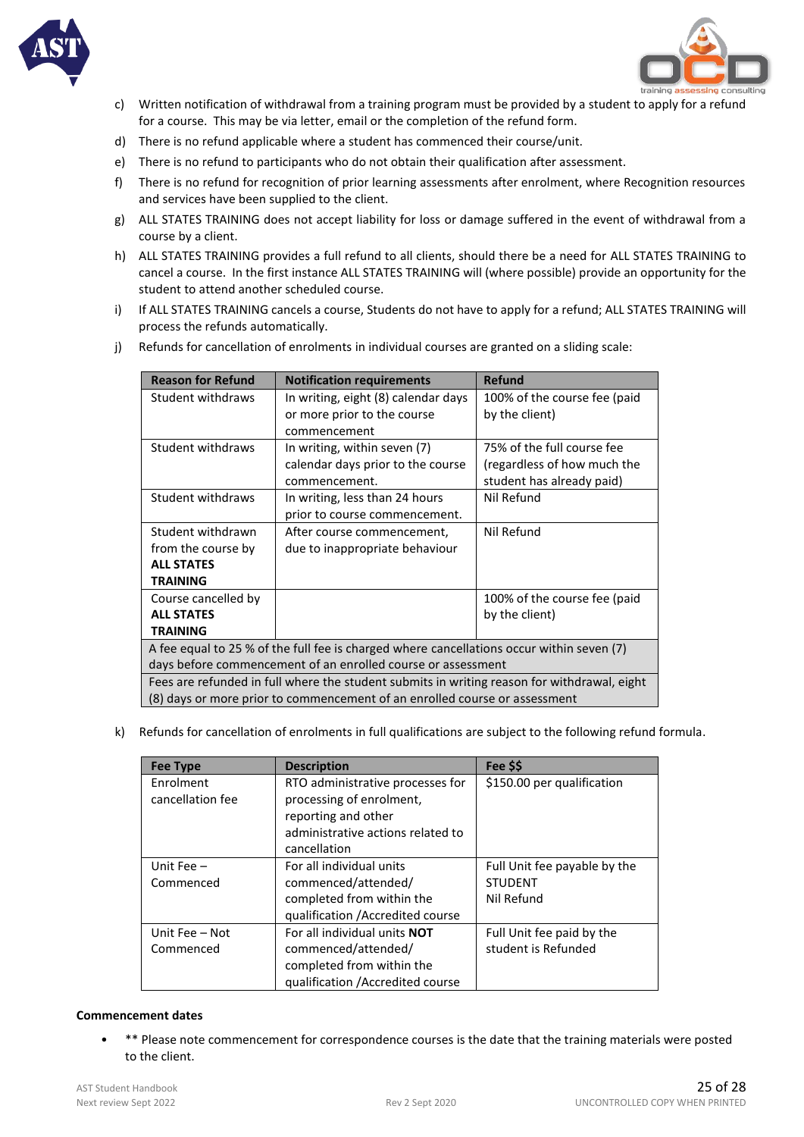



- c) Written notification of withdrawal from a training program must be provided by a student to apply for a refund for a course. This may be via letter, email or the completion of the refund form.
- d) There is no refund applicable where a student has commenced their course/unit.
- e) There is no refund to participants who do not obtain their qualification after assessment.
- f) There is no refund for recognition of prior learning assessments after enrolment, where Recognition resources and services have been supplied to the client.
- g) ALL STATES TRAINING does not accept liability for loss or damage suffered in the event of withdrawal from a course by a client.
- h) ALL STATES TRAINING provides a full refund to all clients, should there be a need for ALL STATES TRAINING to cancel a course. In the first instance ALL STATES TRAINING will (where possible) provide an opportunity for the student to attend another scheduled course.
- i) If ALL STATES TRAINING cancels a course, Students do not have to apply for a refund; ALL STATES TRAINING will process the refunds automatically.
- j) Refunds for cancellation of enrolments in individual courses are granted on a sliding scale:

| <b>Reason for Refund</b>                                                                    | <b>Notification requirements</b>    | Refund                       |  |  |
|---------------------------------------------------------------------------------------------|-------------------------------------|------------------------------|--|--|
| Student withdraws                                                                           | In writing, eight (8) calendar days | 100% of the course fee (paid |  |  |
|                                                                                             | or more prior to the course         | by the client)               |  |  |
|                                                                                             | commencement                        |                              |  |  |
| Student withdraws                                                                           | In writing, within seven (7)        | 75% of the full course fee   |  |  |
|                                                                                             | calendar days prior to the course   | (regardless of how much the  |  |  |
|                                                                                             | commencement.                       | student has already paid)    |  |  |
| Student withdraws                                                                           | In writing, less than 24 hours      | Nil Refund                   |  |  |
|                                                                                             | prior to course commencement.       |                              |  |  |
| Student withdrawn                                                                           | After course commencement,          | Nil Refund                   |  |  |
| from the course by                                                                          | due to inappropriate behaviour      |                              |  |  |
| <b>ALL STATES</b>                                                                           |                                     |                              |  |  |
| <b>TRAINING</b>                                                                             |                                     |                              |  |  |
| Course cancelled by                                                                         |                                     | 100% of the course fee (paid |  |  |
| <b>ALL STATES</b>                                                                           |                                     | by the client)               |  |  |
| <b>TRAINING</b>                                                                             |                                     |                              |  |  |
| A fee equal to 25 % of the full fee is charged where cancellations occur within seven (7)   |                                     |                              |  |  |
| days before commencement of an enrolled course or assessment                                |                                     |                              |  |  |
| Fees are refunded in full where the student submits in writing reason for withdrawal, eight |                                     |                              |  |  |
| (8) days or more prior to commencement of an enrolled course or assessment                  |                                     |                              |  |  |

k) Refunds for cancellation of enrolments in full qualifications are subject to the following refund formula.

| <b>Fee Type</b>  | <b>Description</b>                  | Fee \$\$                     |
|------------------|-------------------------------------|------------------------------|
| Enrolment        | RTO administrative processes for    | \$150.00 per qualification   |
| cancellation fee | processing of enrolment,            |                              |
|                  | reporting and other                 |                              |
|                  | administrative actions related to   |                              |
|                  | cancellation                        |                              |
| Unit Fee $-$     | For all individual units            | Full Unit fee payable by the |
| Commenced        | commenced/attended/                 | <b>STUDENT</b>               |
|                  | completed from within the           | Nil Refund                   |
|                  | qualification / Accredited course   |                              |
| Unit Fee - Not   | For all individual units <b>NOT</b> | Full Unit fee paid by the    |
| Commenced        | commenced/attended/                 | student is Refunded          |
|                  | completed from within the           |                              |
|                  | qualification / Accredited course   |                              |

#### **Commencement dates**

• \*\* Please note commencement for correspondence courses is the date that the training materials were posted to the client.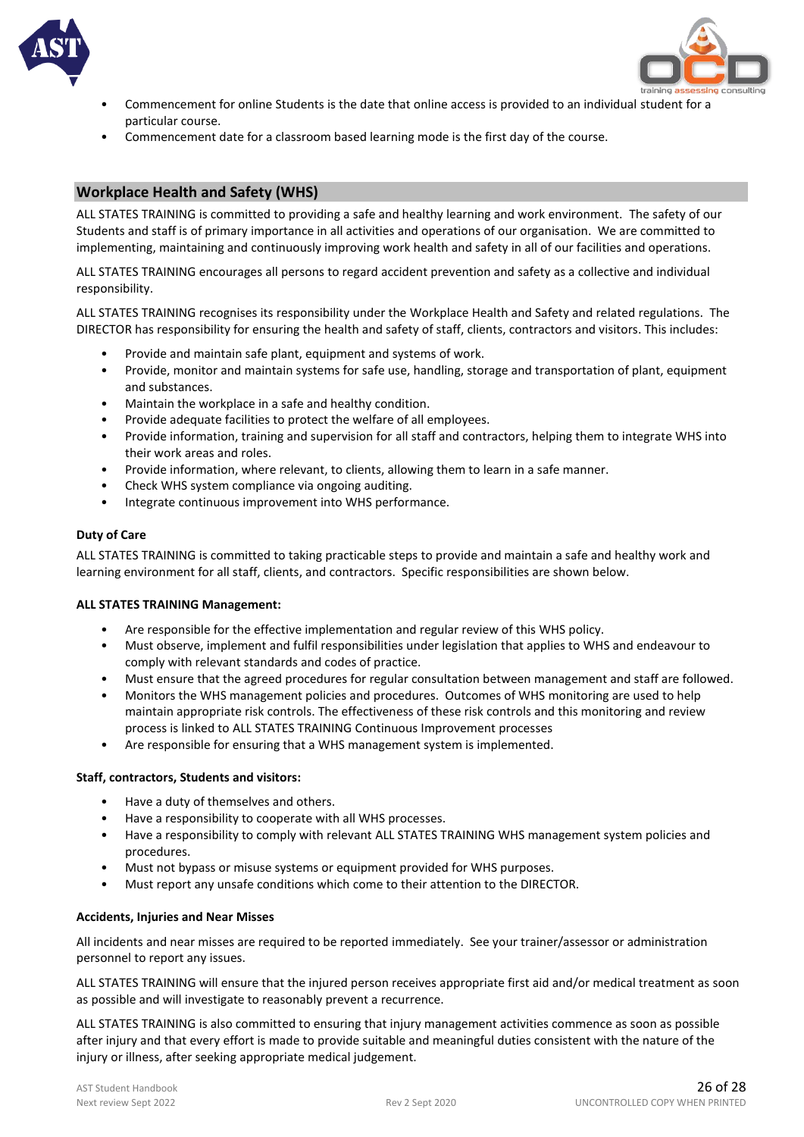



- Commencement for online Students is the date that online access is provided to an individual student for a particular course.
- Commencement date for a classroom based learning mode is the first day of the course.

#### **Workplace Health and Safety (WHS)**

ALL STATES TRAINING is committed to providing a safe and healthy learning and work environment. The safety of our Students and staff is of primary importance in all activities and operations of our organisation. We are committed to implementing, maintaining and continuously improving work health and safety in all of our facilities and operations.

ALL STATES TRAINING encourages all persons to regard accident prevention and safety as a collective and individual responsibility.

ALL STATES TRAINING recognises its responsibility under the Workplace Health and Safety and related regulations. The DIRECTOR has responsibility for ensuring the health and safety of staff, clients, contractors and visitors. This includes:

- Provide and maintain safe plant, equipment and systems of work.
- Provide, monitor and maintain systems for safe use, handling, storage and transportation of plant, equipment and substances.
- Maintain the workplace in a safe and healthy condition.
- Provide adequate facilities to protect the welfare of all employees.
- Provide information, training and supervision for all staff and contractors, helping them to integrate WHS into their work areas and roles.
- Provide information, where relevant, to clients, allowing them to learn in a safe manner.
- Check WHS system compliance via ongoing auditing.
- Integrate continuous improvement into WHS performance.

#### **Duty of Care**

ALL STATES TRAINING is committed to taking practicable steps to provide and maintain a safe and healthy work and learning environment for all staff, clients, and contractors. Specific responsibilities are shown below.

#### **ALL STATES TRAINING Management:**

- Are responsible for the effective implementation and regular review of this WHS policy.
- Must observe, implement and fulfil responsibilities under legislation that applies to WHS and endeavour to comply with relevant standards and codes of practice.
- Must ensure that the agreed procedures for regular consultation between management and staff are followed.
- Monitors the WHS management policies and procedures. Outcomes of WHS monitoring are used to help maintain appropriate risk controls. The effectiveness of these risk controls and this monitoring and review process is linked to ALL STATES TRAINING Continuous Improvement processes
- Are responsible for ensuring that a WHS management system is implemented.

#### **Staff, contractors, Students and visitors:**

- Have a duty of themselves and others.
- Have a responsibility to cooperate with all WHS processes.
- Have a responsibility to comply with relevant ALL STATES TRAINING WHS management system policies and procedures.
- Must not bypass or misuse systems or equipment provided for WHS purposes.
- Must report any unsafe conditions which come to their attention to the DIRECTOR.

#### **Accidents, Injuries and Near Misses**

All incidents and near misses are required to be reported immediately. See your trainer/assessor or administration personnel to report any issues.

ALL STATES TRAINING will ensure that the injured person receives appropriate first aid and/or medical treatment as soon as possible and will investigate to reasonably prevent a recurrence.

ALL STATES TRAINING is also committed to ensuring that injury management activities commence as soon as possible after injury and that every effort is made to provide suitable and meaningful duties consistent with the nature of the injury or illness, after seeking appropriate medical judgement.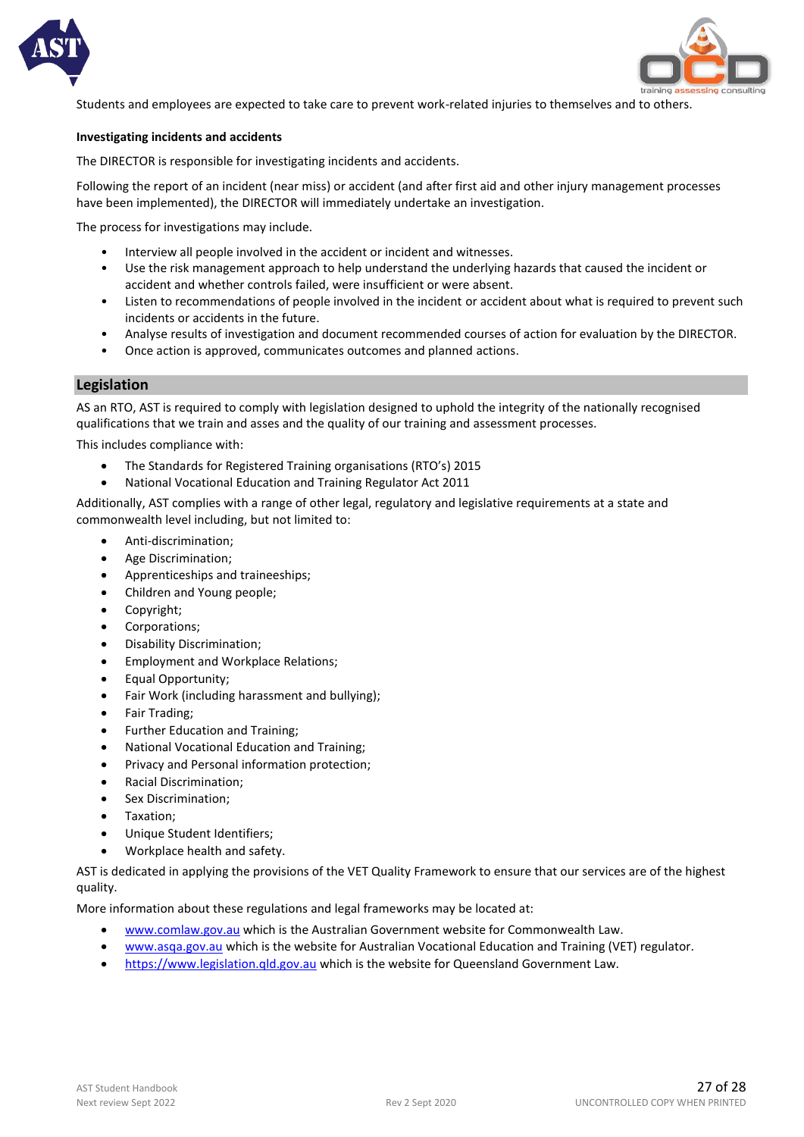



Students and employees are expected to take care to prevent work-related injuries to themselves and to others.

#### **Investigating incidents and accidents**

The DIRECTOR is responsible for investigating incidents and accidents.

Following the report of an incident (near miss) or accident (and after first aid and other injury management processes have been implemented), the DIRECTOR will immediately undertake an investigation.

The process for investigations may include.

- Interview all people involved in the accident or incident and witnesses.
- Use the risk management approach to help understand the underlying hazards that caused the incident or accident and whether controls failed, were insufficient or were absent.
- Listen to recommendations of people involved in the incident or accident about what is required to prevent such incidents or accidents in the future.
- Analyse results of investigation and document recommended courses of action for evaluation by the DIRECTOR.
- Once action is approved, communicates outcomes and planned actions.

#### **Legislation**

AS an RTO, AST is required to comply with legislation designed to uphold the integrity of the nationally recognised qualifications that we train and asses and the quality of our training and assessment processes.

This includes compliance with:

- The Standards for Registered Training organisations (RTO's) 2015
- National Vocational Education and Training Regulator Act 2011

Additionally, AST complies with a range of other legal, regulatory and legislative requirements at a state and commonwealth level including, but not limited to:

- Anti-discrimination;
- Age Discrimination;
- Apprenticeships and traineeships;
- Children and Young people;
- Copyright;
- Corporations;
- Disability Discrimination;
- Employment and Workplace Relations;
- Equal Opportunity;
- Fair Work (including harassment and bullying);
- Fair Trading;
- Further Education and Training;
- National Vocational Education and Training;
- Privacy and Personal information protection;
- Racial Discrimination;
- Sex Discrimination;
- Taxation;
- Unique Student Identifiers;
- Workplace health and safety.

AST is dedicated in applying the provisions of the VET Quality Framework to ensure that our services are of the highest quality.

More information about these regulations and legal frameworks may be located at:

- [www.comlaw.gov.au](http://www.comlaw.gov.au/) which is the Australian Government website for Commonwealth Law.
- [www.asqa.gov.au](http://www.asqa.gov.au/) which is the website for Australian Vocational Education and Training (VET) regulator.
- [https://www.legislation.qld.gov.au](https://www.legislation.qld.gov.au/) which is the website for Queensland Government Law.